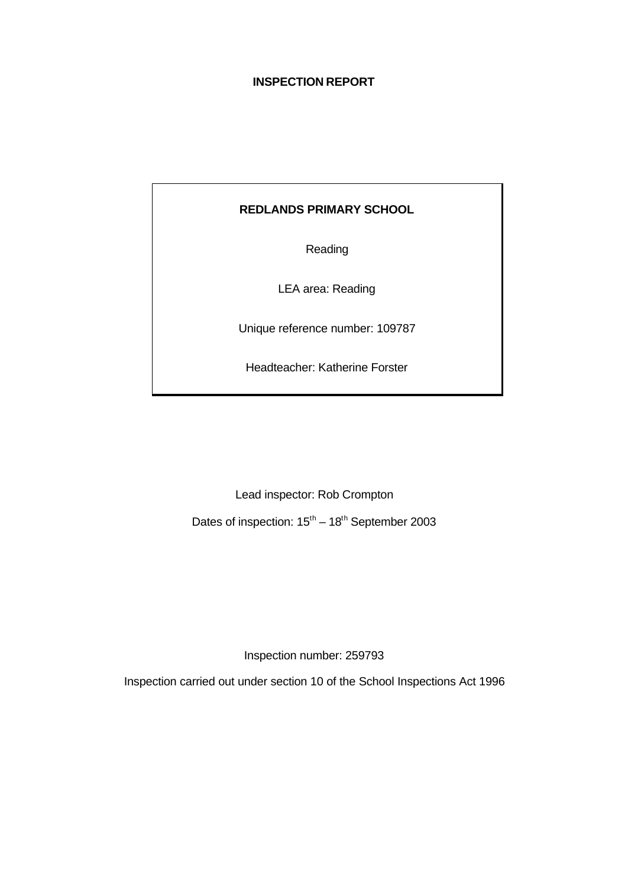# **INSPECTION REPORT**

# **REDLANDS PRIMARY SCHOOL**

Reading

LEA area: Reading

Unique reference number: 109787

Headteacher: Katherine Forster

Lead inspector: Rob Crompton

Dates of inspection:  $15^{\text{th}} - 18^{\text{th}}$  September 2003

Inspection number: 259793

Inspection carried out under section 10 of the School Inspections Act 1996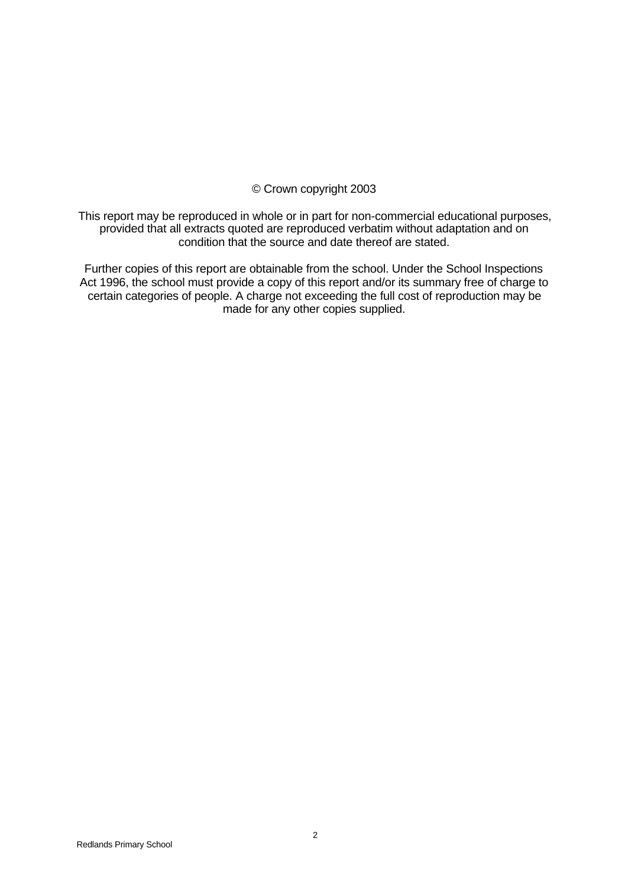## © Crown copyright 2003

This report may be reproduced in whole or in part for non-commercial educational purposes, provided that all extracts quoted are reproduced verbatim without adaptation and on condition that the source and date thereof are stated.

Further copies of this report are obtainable from the school. Under the School Inspections Act 1996, the school must provide a copy of this report and/or its summary free of charge to certain categories of people. A charge not exceeding the full cost of reproduction may be made for any other copies supplied.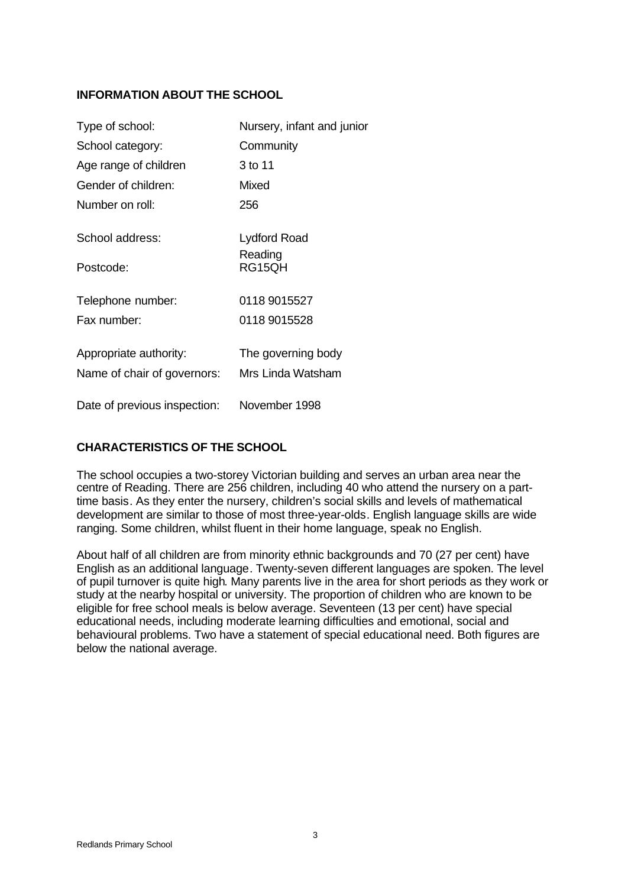# **INFORMATION ABOUT THE SCHOOL**

| Type of school:              | Nursery, infant and junior |
|------------------------------|----------------------------|
| School category:             | Community                  |
| Age range of children        | 3 to 11                    |
| Gender of children:          | <b>Mixed</b>               |
| Number on roll:              | 256                        |
| School address:              | Lydford Road               |
| Postcode:                    | Reading<br>RG15QH          |
| Telephone number:            | 0118 9015527               |
| Fax number:                  | 0118 9015528               |
| Appropriate authority:       | The governing body         |
| Name of chair of governors:  | Mrs Linda Watsham          |
| Date of previous inspection: | November 1998              |

# **CHARACTERISTICS OF THE SCHOOL**

The school occupies a two-storey Victorian building and serves an urban area near the centre of Reading. There are 256 children, including 40 who attend the nursery on a parttime basis. As they enter the nursery, children's social skills and levels of mathematical development are similar to those of most three-year-olds. English language skills are wide ranging. Some children, whilst fluent in their home language, speak no English.

About half of all children are from minority ethnic backgrounds and 70 (27 per cent) have English as an additional language. Twenty-seven different languages are spoken. The level of pupil turnover is quite high. Many parents live in the area for short periods as they work or study at the nearby hospital or university. The proportion of children who are known to be eligible for free school meals is below average. Seventeen (13 per cent) have special educational needs, including moderate learning difficulties and emotional, social and behavioural problems. Two have a statement of special educational need. Both figures are below the national average.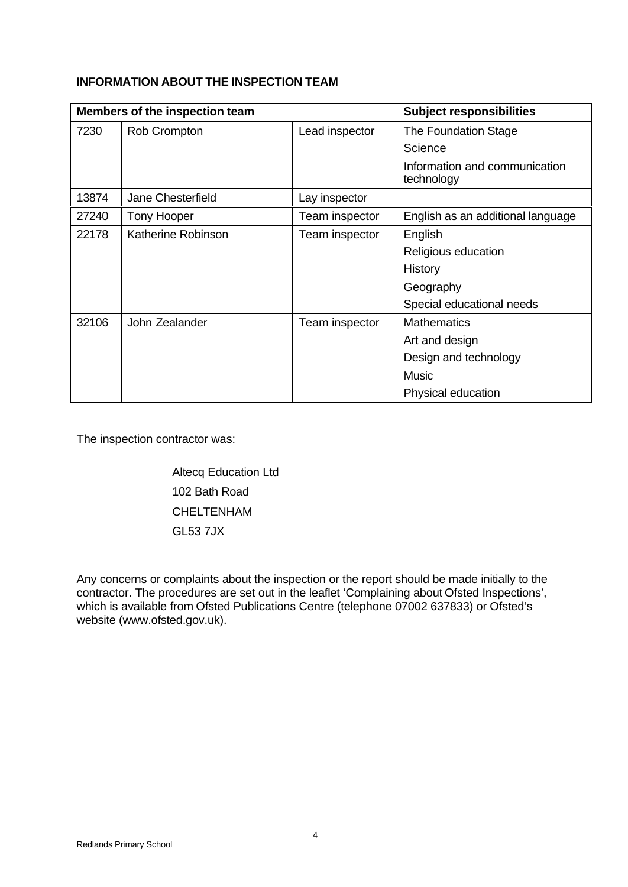# **INFORMATION ABOUT THE INSPECTION TEAM**

|       | Members of the inspection team |                | <b>Subject responsibilities</b>             |
|-------|--------------------------------|----------------|---------------------------------------------|
| 7230  | Rob Crompton                   | Lead inspector | The Foundation Stage                        |
|       |                                |                | Science                                     |
|       |                                |                | Information and communication<br>technology |
| 13874 | Jane Chesterfield              | Lay inspector  |                                             |
| 27240 | Tony Hooper                    | Team inspector | English as an additional language           |
| 22178 | Katherine Robinson             | Team inspector | English                                     |
|       |                                |                | Religious education                         |
|       |                                |                | History                                     |
|       |                                |                | Geography                                   |
|       |                                |                | Special educational needs                   |
| 32106 | John Zealander                 | Team inspector | <b>Mathematics</b>                          |
|       |                                |                | Art and design                              |
|       |                                |                | Design and technology                       |
|       |                                |                | <b>Music</b>                                |
|       |                                |                | Physical education                          |

The inspection contractor was:

Altecq Education Ltd 102 Bath Road CHELTENHAM GL53 7JX

Any concerns or complaints about the inspection or the report should be made initially to the contractor. The procedures are set out in the leaflet 'Complaining about Ofsted Inspections', which is available from Ofsted Publications Centre (telephone 07002 637833) or Ofsted's website (www.ofsted.gov.uk).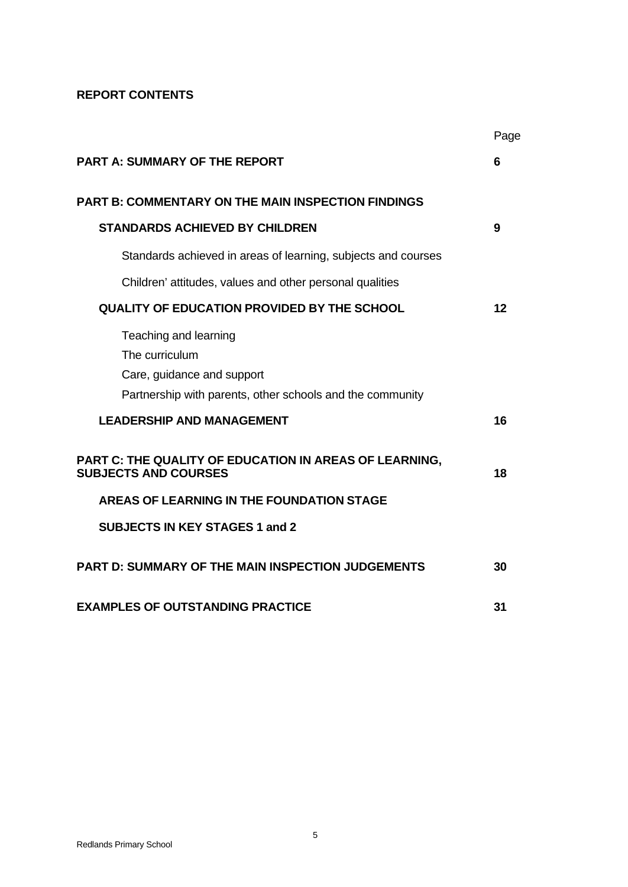# **REPORT CONTENTS**

|                                                                                                                                    | Page |
|------------------------------------------------------------------------------------------------------------------------------------|------|
| <b>PART A: SUMMARY OF THE REPORT</b>                                                                                               | 6    |
| <b>PART B: COMMENTARY ON THE MAIN INSPECTION FINDINGS</b>                                                                          |      |
| <b>STANDARDS ACHIEVED BY CHILDREN</b>                                                                                              | 9    |
| Standards achieved in areas of learning, subjects and courses                                                                      |      |
| Children' attitudes, values and other personal qualities                                                                           |      |
| <b>QUALITY OF EDUCATION PROVIDED BY THE SCHOOL</b>                                                                                 | 12   |
| Teaching and learning<br>The curriculum<br>Care, guidance and support<br>Partnership with parents, other schools and the community |      |
| <b>LEADERSHIP AND MANAGEMENT</b>                                                                                                   | 16   |
| PART C: THE QUALITY OF EDUCATION IN AREAS OF LEARNING,<br><b>SUBJECTS AND COURSES</b><br>AREAS OF LEARNING IN THE FOUNDATION STAGE | 18   |
| <b>SUBJECTS IN KEY STAGES 1 and 2</b>                                                                                              |      |
| <b>PART D: SUMMARY OF THE MAIN INSPECTION JUDGEMENTS</b>                                                                           | 30   |
| <b>EXAMPLES OF OUTSTANDING PRACTICE</b>                                                                                            | 31   |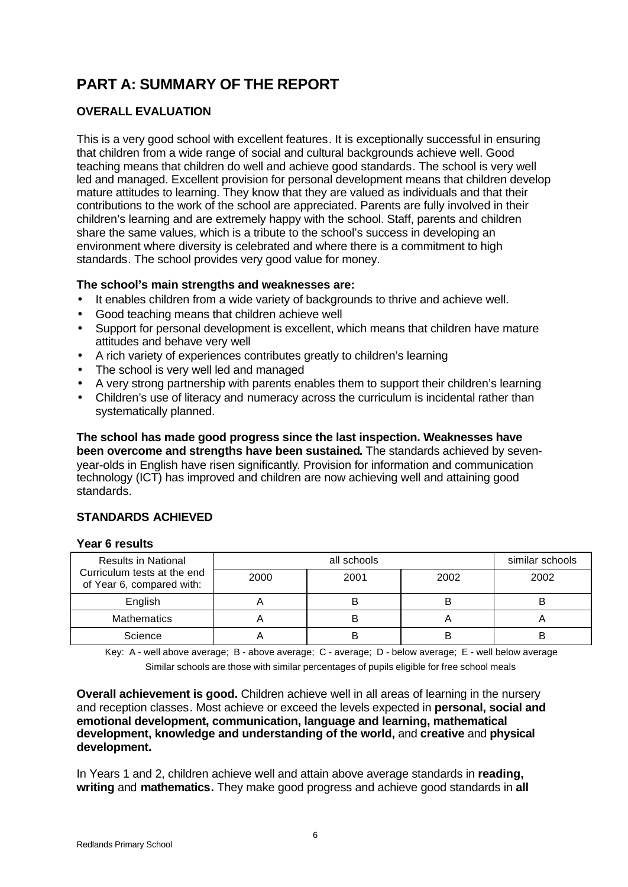# **PART A: SUMMARY OF THE REPORT**

# **OVERALL EVALUATION**

This is a very good school with excellent features. It is exceptionally successful in ensuring that children from a wide range of social and cultural backgrounds achieve well. Good teaching means that children do well and achieve good standards. The school is very well led and managed. Excellent provision for personal development means that children develop mature attitudes to learning. They know that they are valued as individuals and that their contributions to the work of the school are appreciated. Parents are fully involved in their children's learning and are extremely happy with the school. Staff, parents and children share the same values, which is a tribute to the school's success in developing an environment where diversity is celebrated and where there is a commitment to high standards. The school provides very good value for money.

# **The school's main strengths and weaknesses are:**

- It enables children from a wide variety of backgrounds to thrive and achieve well.
- Good teaching means that children achieve well
- Support for personal development is excellent, which means that children have mature attitudes and behave very well
- A rich variety of experiences contributes greatly to children's learning
- The school is very well led and managed
- A very strong partnership with parents enables them to support their children's learning
- Children's use of literacy and numeracy across the curriculum is incidental rather than systematically planned.

**The school has made good progress since the last inspection. Weaknesses have been overcome and strengths have been sustained.** The standards achieved by sevenyear-olds in English have risen significantly. Provision for information and communication technology (ICT) has improved and children are now achieving well and attaining good standards.

# **STANDARDS ACHIEVED**

## **Year 6 results**

| <b>Results in National</b>                               |      | similar schools |      |      |
|----------------------------------------------------------|------|-----------------|------|------|
| Curriculum tests at the end<br>of Year 6, compared with: | 2000 | 2001            | 2002 | 2002 |
| English                                                  |      |                 |      |      |
| <b>Mathematics</b>                                       |      | B               |      |      |
| Science                                                  |      |                 | B    |      |

Key: A - well above average; B - above average; C - average; D - below average; E - well below average

Similar schools are those with similar percentages of pupils eligible for free school meals

**Overall achievement is good.** Children achieve well in all areas of learning in the nursery and reception classes. Most achieve or exceed the levels expected in **personal, social and emotional development, communication, language and learning, mathematical development, knowledge and understanding of the world,** and **creative** and **physical development.**

In Years 1 and 2, children achieve well and attain above average standards in **reading, writing** and **mathematics.** They make good progress and achieve good standards in **all**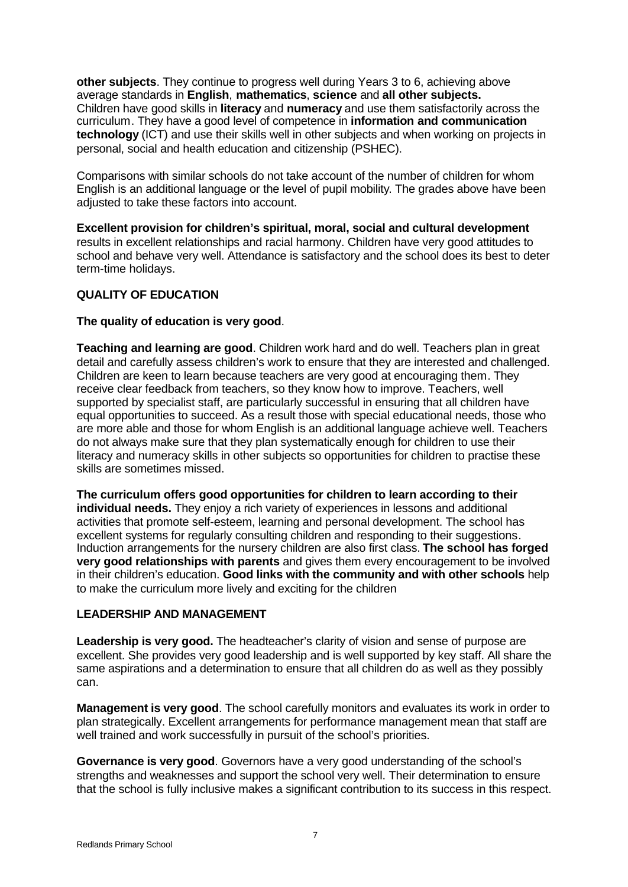**other subjects**. They continue to progress well during Years 3 to 6, achieving above average standards in **English**, **mathematics**, **science** and **all other subjects.** Children have good skills in **literacy** and **numeracy** and use them satisfactorily across the curriculum. They have a good level of competence in **information and communication technology** (ICT) and use their skills well in other subjects and when working on projects in personal, social and health education and citizenship (PSHEC).

Comparisons with similar schools do not take account of the number of children for whom English is an additional language or the level of pupil mobility. The grades above have been adjusted to take these factors into account.

**Excellent provision for children's spiritual, moral, social and cultural development** results in excellent relationships and racial harmony. Children have very good attitudes to school and behave very well. Attendance is satisfactory and the school does its best to deter term-time holidays.

# **QUALITY OF EDUCATION**

# **The quality of education is very good**.

**Teaching and learning are good**. Children work hard and do well. Teachers plan in great detail and carefully assess children's work to ensure that they are interested and challenged. Children are keen to learn because teachers are very good at encouraging them. They receive clear feedback from teachers, so they know how to improve. Teachers, well supported by specialist staff, are particularly successful in ensuring that all children have equal opportunities to succeed. As a result those with special educational needs, those who are more able and those for whom English is an additional language achieve well. Teachers do not always make sure that they plan systematically enough for children to use their literacy and numeracy skills in other subjects so opportunities for children to practise these skills are sometimes missed.

**The curriculum offers good opportunities for children to learn according to their individual needs.** They enjoy a rich variety of experiences in lessons and additional activities that promote self-esteem, learning and personal development. The school has excellent systems for regularly consulting children and responding to their suggestions. Induction arrangements for the nursery children are also first class. **The school has forged very good relationships with parents** and gives them every encouragement to be involved in their children's education. **Good links with the community and with other schools** help to make the curriculum more lively and exciting for the children

## **LEADERSHIP AND MANAGEMENT**

**Leadership is very good.** The headteacher's clarity of vision and sense of purpose are excellent. She provides very good leadership and is well supported by key staff. All share the same aspirations and a determination to ensure that all children do as well as they possibly can.

**Management is very good**. The school carefully monitors and evaluates its work in order to plan strategically. Excellent arrangements for performance management mean that staff are well trained and work successfully in pursuit of the school's priorities.

**Governance is very good**. Governors have a very good understanding of the school's strengths and weaknesses and support the school very well. Their determination to ensure that the school is fully inclusive makes a significant contribution to its success in this respect.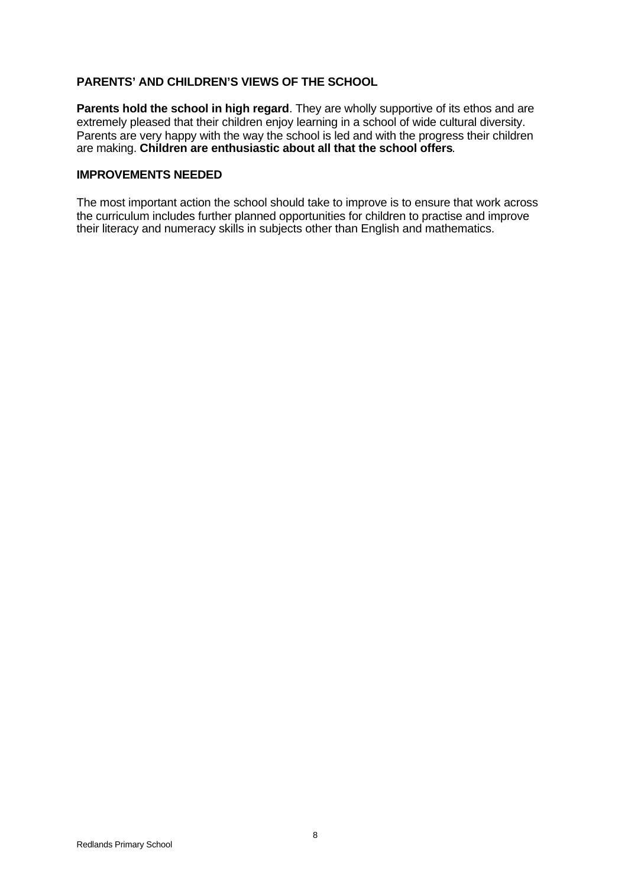## **PARENTS' AND CHILDREN'S VIEWS OF THE SCHOOL**

**Parents hold the school in high regard**. They are wholly supportive of its ethos and are extremely pleased that their children enjoy learning in a school of wide cultural diversity. Parents are very happy with the way the school is led and with the progress their children are making. **Children are enthusiastic about all that the school offers**.

#### **IMPROVEMENTS NEEDED**

The most important action the school should take to improve is to ensure that work across the curriculum includes further planned opportunities for children to practise and improve their literacy and numeracy skills in subjects other than English and mathematics.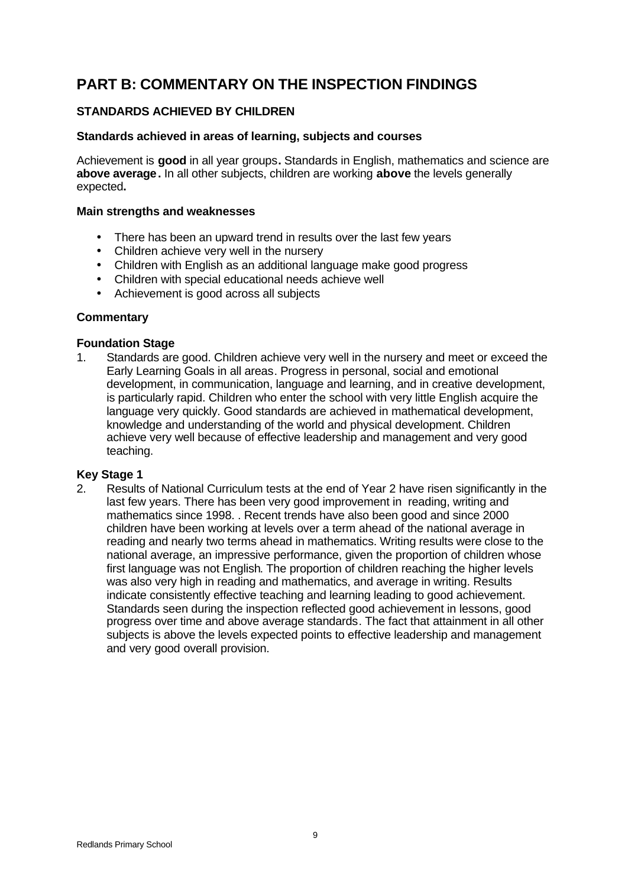# **PART B: COMMENTARY ON THE INSPECTION FINDINGS**

# **STANDARDS ACHIEVED BY CHILDREN**

#### **Standards achieved in areas of learning, subjects and courses**

Achievement is **good** in all year groups**.** Standards in English, mathematics and science are **above average.** In all other subjects, children are working **above** the levels generally expected**.**

#### **Main strengths and weaknesses**

- There has been an upward trend in results over the last few years
- Children achieve very well in the nursery
- Children with English as an additional language make good progress
- Children with special educational needs achieve well
- Achievement is good across all subjects

#### **Commentary**

#### **Foundation Stage**

1. Standards are good. Children achieve very well in the nursery and meet or exceed the Early Learning Goals in all areas. Progress in personal, social and emotional development, in communication, language and learning, and in creative development, is particularly rapid. Children who enter the school with very little English acquire the language very quickly. Good standards are achieved in mathematical development, knowledge and understanding of the world and physical development. Children achieve very well because of effective leadership and management and very good teaching.

## **Key Stage 1**

2. Results of National Curriculum tests at the end of Year 2 have risen significantly in the last few years. There has been very good improvement in reading, writing and mathematics since 1998. . Recent trends have also been good and since 2000 children have been working at levels over a term ahead of the national average in reading and nearly two terms ahead in mathematics. Writing results were close to the national average, an impressive performance, given the proportion of children whose first language was not English. The proportion of children reaching the higher levels was also very high in reading and mathematics, and average in writing. Results indicate consistently effective teaching and learning leading to good achievement. Standards seen during the inspection reflected good achievement in lessons, good progress over time and above average standards. The fact that attainment in all other subjects is above the levels expected points to effective leadership and management and very good overall provision.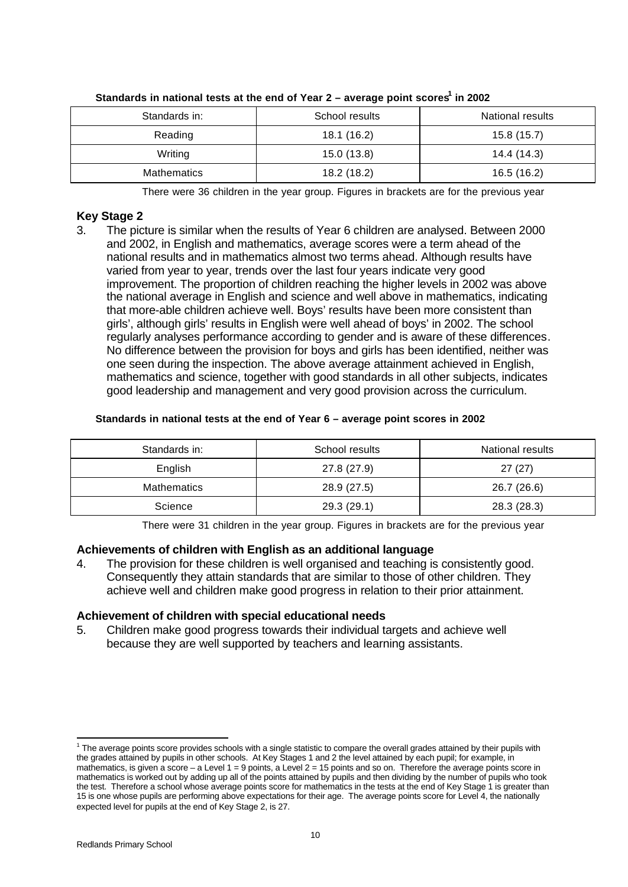| Standards in:      | School results | National results |
|--------------------|----------------|------------------|
| Reading            | 18.1 (16.2)    | 15.8(15.7)       |
| Writing            | 15.0(13.8)     | 14.4 (14.3)      |
| <b>Mathematics</b> | 18.2 (18.2)    | 16.5(16.2)       |

#### **Standards in national tests at the end of Year 2 – average point scores<sup>1</sup> in 2002**

There were 36 children in the year group. Figures in brackets are for the previous year

## **Key Stage 2**

3. The picture is similar when the results of Year 6 children are analysed. Between 2000 and 2002, in English and mathematics, average scores were a term ahead of the national results and in mathematics almost two terms ahead. Although results have varied from year to year, trends over the last four years indicate very good improvement. The proportion of children reaching the higher levels in 2002 was above the national average in English and science and well above in mathematics, indicating that more-able children achieve well. Boys' results have been more consistent than girls', although girls' results in English were well ahead of boys' in 2002. The school regularly analyses performance according to gender and is aware of these differences. No difference between the provision for boys and girls has been identified, neither was one seen during the inspection. The above average attainment achieved in English, mathematics and science, together with good standards in all other subjects, indicates good leadership and management and very good provision across the curriculum.

## **Standards in national tests at the end of Year 6 – average point scores in 2002**

| Standards in:      | School results | National results |
|--------------------|----------------|------------------|
| English            | 27.8 (27.9)    | 27(27)           |
| <b>Mathematics</b> | 28.9 (27.5)    | 26.7 (26.6)      |
| Science            | 29.3 (29.1)    | 28.3 (28.3)      |

There were 31 children in the year group. Figures in brackets are for the previous year

## **Achievements of children with English as an additional language**

4. The provision for these children is well organised and teaching is consistently good. Consequently they attain standards that are similar to those of other children. They achieve well and children make good progress in relation to their prior attainment.

## **Achievement of children with special educational needs**

5. Children make good progress towards their individual targets and achieve well because they are well supported by teachers and learning assistants.

l

<sup>&</sup>lt;sup>1</sup> The average points score provides schools with a single statistic to compare the overall grades attained by their pupils with the grades attained by pupils in other schools. At Key Stages 1 and 2 the level attained by each pupil; for example, in mathematics, is given a score – a Level 1 = 9 points, a Level 2 = 15 points and so on. Therefore the average points score in mathematics is worked out by adding up all of the points attained by pupils and then dividing by the number of pupils who took the test. Therefore a school whose average points score for mathematics in the tests at the end of Key Stage 1 is greater than 15 is one whose pupils are performing above expectations for their age. The average points score for Level 4, the nationally expected level for pupils at the end of Key Stage 2, is 27.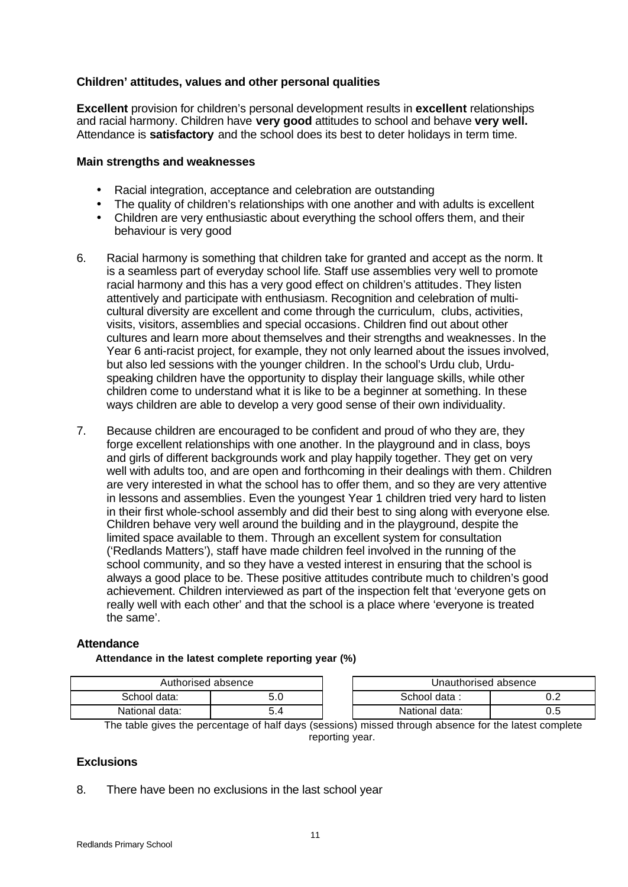# **Children' attitudes, values and other personal qualities**

**Excellent** provision for children's personal development results in **excellent** relationships and racial harmony. Children have **very good** attitudes to school and behave **very well.** Attendance is **satisfactory** and the school does its best to deter holidays in term time.

#### **Main strengths and weaknesses**

- Racial integration, acceptance and celebration are outstanding
- The quality of children's relationships with one another and with adults is excellent
- Children are very enthusiastic about everything the school offers them, and their behaviour is very good
- 6. Racial harmony is something that children take for granted and accept as the norm. It is a seamless part of everyday school life. Staff use assemblies very well to promote racial harmony and this has a very good effect on children's attitudes. They listen attentively and participate with enthusiasm. Recognition and celebration of multicultural diversity are excellent and come through the curriculum, clubs, activities, visits, visitors, assemblies and special occasions. Children find out about other cultures and learn more about themselves and their strengths and weaknesses. In the Year 6 anti-racist project, for example, they not only learned about the issues involved, but also led sessions with the younger children. In the school's Urdu club, Urduspeaking children have the opportunity to display their language skills, while other children come to understand what it is like to be a beginner at something. In these ways children are able to develop a very good sense of their own individuality.
- 7. Because children are encouraged to be confident and proud of who they are, they forge excellent relationships with one another. In the playground and in class, boys and girls of different backgrounds work and play happily together. They get on very well with adults too, and are open and forthcoming in their dealings with them. Children are very interested in what the school has to offer them, and so they are very attentive in lessons and assemblies. Even the youngest Year 1 children tried very hard to listen in their first whole-school assembly and did their best to sing along with everyone else. Children behave very well around the building and in the playground, despite the limited space available to them. Through an excellent system for consultation ('Redlands Matters'), staff have made children feel involved in the running of the school community, and so they have a vested interest in ensuring that the school is always a good place to be. These positive attitudes contribute much to children's good achievement. Children interviewed as part of the inspection felt that 'everyone gets on really well with each other' and that the school is a place where 'everyone is treated the same'.

## **Attendance**

#### **Attendance in the latest complete reporting year (%)**

| Authorised absence |  |  | Unauthorised absence_ |     |
|--------------------|--|--|-----------------------|-----|
| School data:       |  |  | School data :         | ◡.∠ |
| National data:     |  |  | National data:        | ∪.∪ |

The table gives the percentage of half days (sessions) missed through absence for the latest complete reporting year.

# **Exclusions**

8. There have been no exclusions in the last school year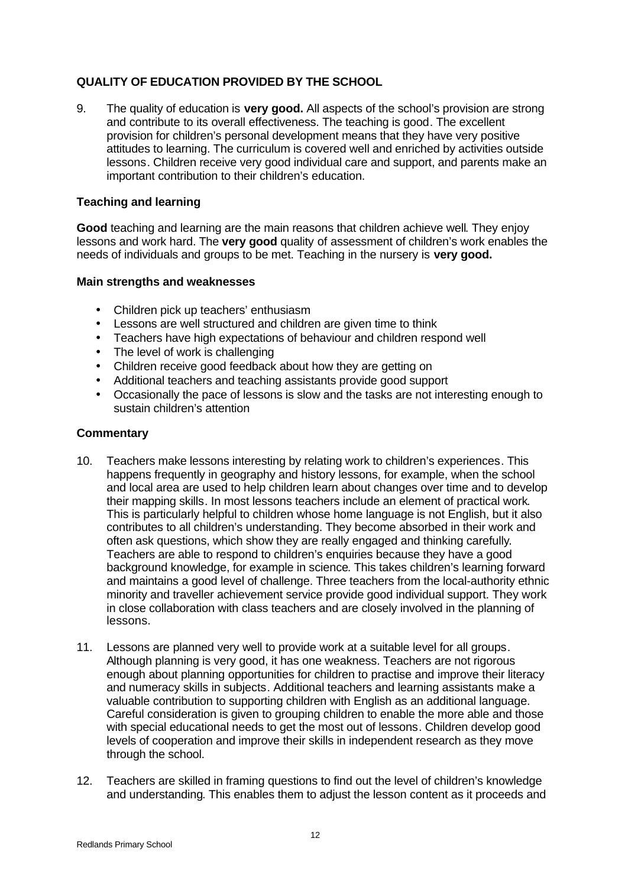# **QUALITY OF EDUCATION PROVIDED BY THE SCHOOL**

9. The quality of education is **very good.** All aspects of the school's provision are strong and contribute to its overall effectiveness. The teaching is good. The excellent provision for children's personal development means that they have very positive attitudes to learning. The curriculum is covered well and enriched by activities outside lessons. Children receive very good individual care and support, and parents make an important contribution to their children's education.

# **Teaching and learning**

**Good** teaching and learning are the main reasons that children achieve well. They enjoy lessons and work hard. The **very good** quality of assessment of children's work enables the needs of individuals and groups to be met. Teaching in the nursery is **very good.**

## **Main strengths and weaknesses**

- Children pick up teachers' enthusiasm
- Lessons are well structured and children are given time to think
- Teachers have high expectations of behaviour and children respond well
- The level of work is challenging
- Children receive good feedback about how they are getting on
- Additional teachers and teaching assistants provide good support
- Occasionally the pace of lessons is slow and the tasks are not interesting enough to sustain children's attention

- 10. Teachers make lessons interesting by relating work to children's experiences. This happens frequently in geography and history lessons, for example, when the school and local area are used to help children learn about changes over time and to develop their mapping skills. In most lessons teachers include an element of practical work. This is particularly helpful to children whose home language is not English, but it also contributes to all children's understanding. They become absorbed in their work and often ask questions, which show they are really engaged and thinking carefully. Teachers are able to respond to children's enquiries because they have a good background knowledge, for example in science. This takes children's learning forward and maintains a good level of challenge. Three teachers from the local-authority ethnic minority and traveller achievement service provide good individual support. They work in close collaboration with class teachers and are closely involved in the planning of lessons.
- 11. Lessons are planned very well to provide work at a suitable level for all groups. Although planning is very good, it has one weakness. Teachers are not rigorous enough about planning opportunities for children to practise and improve their literacy and numeracy skills in subjects. Additional teachers and learning assistants make a valuable contribution to supporting children with English as an additional language. Careful consideration is given to grouping children to enable the more able and those with special educational needs to get the most out of lessons. Children develop good levels of cooperation and improve their skills in independent research as they move through the school.
- 12. Teachers are skilled in framing questions to find out the level of children's knowledge and understanding. This enables them to adjust the lesson content as it proceeds and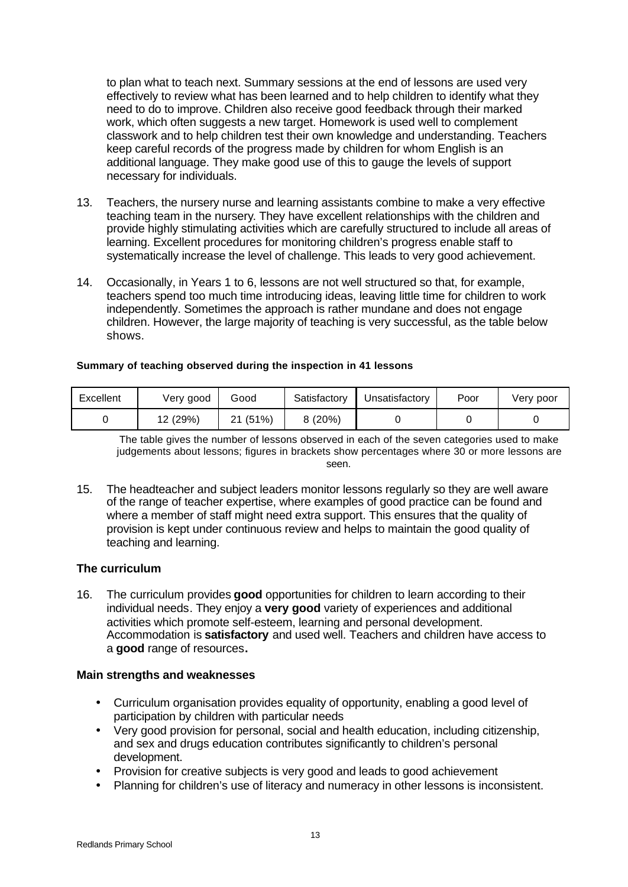to plan what to teach next. Summary sessions at the end of lessons are used very effectively to review what has been learned and to help children to identify what they need to do to improve. Children also receive good feedback through their marked work, which often suggests a new target. Homework is used well to complement classwork and to help children test their own knowledge and understanding. Teachers keep careful records of the progress made by children for whom English is an additional language. They make good use of this to gauge the levels of support necessary for individuals.

- 13. Teachers, the nursery nurse and learning assistants combine to make a very effective teaching team in the nursery. They have excellent relationships with the children and provide highly stimulating activities which are carefully structured to include all areas of learning. Excellent procedures for monitoring children's progress enable staff to systematically increase the level of challenge. This leads to very good achievement.
- 14. Occasionally, in Years 1 to 6, lessons are not well structured so that, for example, teachers spend too much time introducing ideas, leaving little time for children to work independently. Sometimes the approach is rather mundane and does not engage children. However, the large majority of teaching is very successful, as the table below shows.

#### **Summary of teaching observed during the inspection in 41 lessons**

| Excellent | Very good | Good     | Satisfactory | Unsatisfactory | Poor | Very poor |
|-----------|-----------|----------|--------------|----------------|------|-----------|
|           | 12 (29%)  | 21 (51%) | 8(20%)       |                |      |           |

The table gives the number of lessons observed in each of the seven categories used to make judgements about lessons; figures in brackets show percentages where 30 or more lessons are seen.

15. The headteacher and subject leaders monitor lessons regularly so they are well aware of the range of teacher expertise, where examples of good practice can be found and where a member of staff might need extra support. This ensures that the quality of provision is kept under continuous review and helps to maintain the good quality of teaching and learning.

## **The curriculum**

16. The curriculum provides **good** opportunities for children to learn according to their individual needs. They enjoy a **very good** variety of experiences and additional activities which promote self-esteem, learning and personal development. Accommodation is **satisfactory** and used well. Teachers and children have access to a **good** range of resources**.**

#### **Main strengths and weaknesses**

- Curriculum organisation provides equality of opportunity, enabling a good level of participation by children with particular needs
- Very good provision for personal, social and health education, including citizenship, and sex and drugs education contributes significantly to children's personal development.
- Provision for creative subjects is very good and leads to good achievement
- Planning for children's use of literacy and numeracy in other lessons is inconsistent.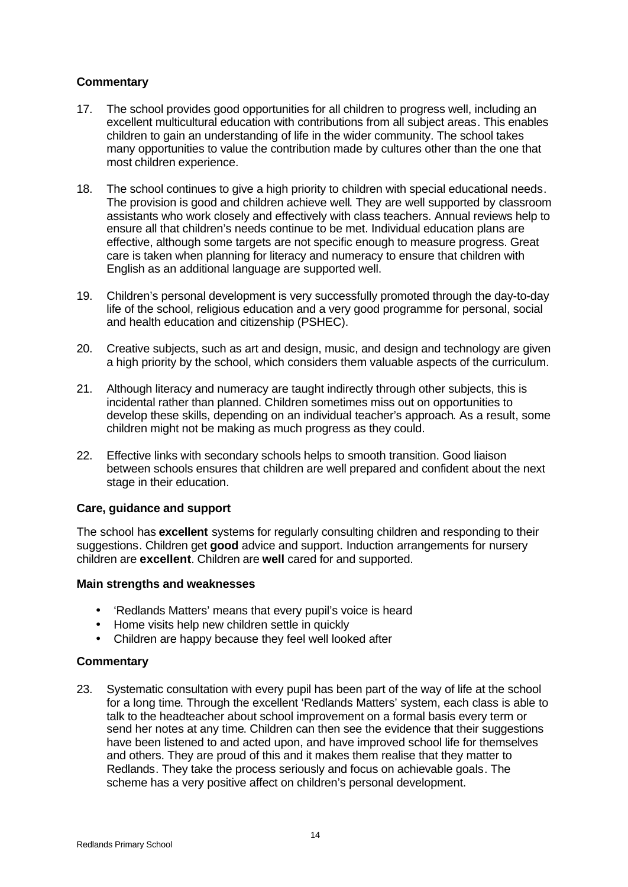# **Commentary**

- 17. The school provides good opportunities for all children to progress well, including an excellent multicultural education with contributions from all subject areas. This enables children to gain an understanding of life in the wider community. The school takes many opportunities to value the contribution made by cultures other than the one that most children experience.
- 18. The school continues to give a high priority to children with special educational needs. The provision is good and children achieve well. They are well supported by classroom assistants who work closely and effectively with class teachers. Annual reviews help to ensure all that children's needs continue to be met. Individual education plans are effective, although some targets are not specific enough to measure progress. Great care is taken when planning for literacy and numeracy to ensure that children with English as an additional language are supported well.
- 19. Children's personal development is very successfully promoted through the day-to-day life of the school, religious education and a very good programme for personal, social and health education and citizenship (PSHEC).
- 20. Creative subjects, such as art and design, music, and design and technology are given a high priority by the school, which considers them valuable aspects of the curriculum.
- 21. Although literacy and numeracy are taught indirectly through other subjects, this is incidental rather than planned. Children sometimes miss out on opportunities to develop these skills, depending on an individual teacher's approach. As a result, some children might not be making as much progress as they could.
- 22. Effective links with secondary schools helps to smooth transition. Good liaison between schools ensures that children are well prepared and confident about the next stage in their education.

# **Care, guidance and support**

The school has **excellent** systems for regularly consulting children and responding to their suggestions. Children get **good** advice and support. Induction arrangements for nursery children are **excellent**. Children are **well** cared for and supported.

## **Main strengths and weaknesses**

- 'Redlands Matters' means that every pupil's voice is heard
- Home visits help new children settle in quickly
- Children are happy because they feel well looked after

## **Commentary**

23. Systematic consultation with every pupil has been part of the way of life at the school for a long time. Through the excellent 'Redlands Matters' system, each class is able to talk to the headteacher about school improvement on a formal basis every term or send her notes at any time. Children can then see the evidence that their suggestions have been listened to and acted upon, and have improved school life for themselves and others. They are proud of this and it makes them realise that they matter to Redlands. They take the process seriously and focus on achievable goals. The scheme has a very positive affect on children's personal development.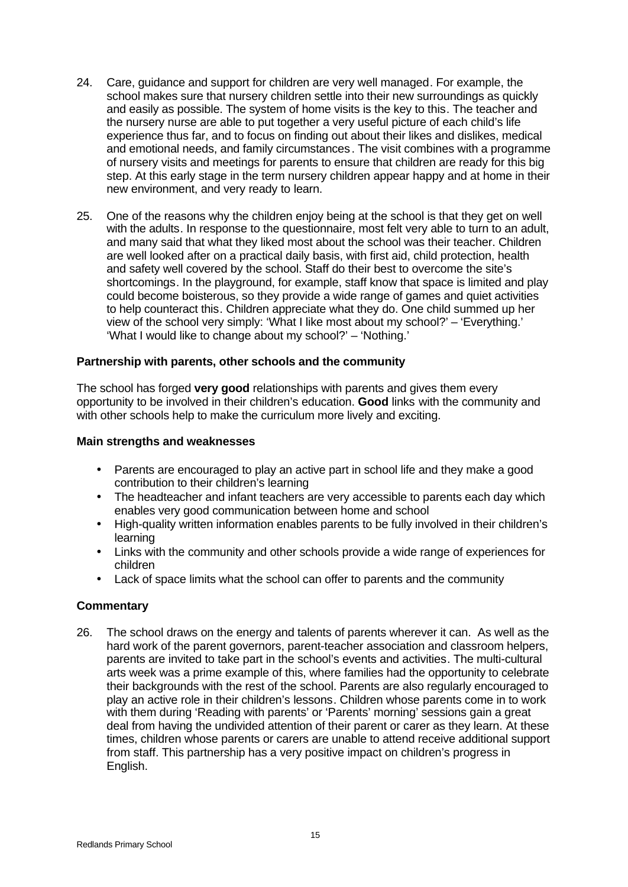- 24. Care, guidance and support for children are very well managed. For example, the school makes sure that nursery children settle into their new surroundings as quickly and easily as possible. The system of home visits is the key to this. The teacher and the nursery nurse are able to put together a very useful picture of each child's life experience thus far, and to focus on finding out about their likes and dislikes, medical and emotional needs, and family circumstances. The visit combines with a programme of nursery visits and meetings for parents to ensure that children are ready for this big step. At this early stage in the term nursery children appear happy and at home in their new environment, and very ready to learn.
- 25. One of the reasons why the children enjoy being at the school is that they get on well with the adults. In response to the questionnaire, most felt very able to turn to an adult, and many said that what they liked most about the school was their teacher. Children are well looked after on a practical daily basis, with first aid, child protection, health and safety well covered by the school. Staff do their best to overcome the site's shortcomings. In the playground, for example, staff know that space is limited and play could become boisterous, so they provide a wide range of games and quiet activities to help counteract this. Children appreciate what they do. One child summed up her view of the school very simply: 'What I like most about my school?' – 'Everything.' 'What I would like to change about my school?' – 'Nothing.'

## **Partnership with parents, other schools and the community**

The school has forged **very good** relationships with parents and gives them every opportunity to be involved in their children's education. **Good** links with the community and with other schools help to make the curriculum more lively and exciting.

#### **Main strengths and weaknesses**

- Parents are encouraged to play an active part in school life and they make a good contribution to their children's learning
- The headteacher and infant teachers are very accessible to parents each day which enables very good communication between home and school
- High-quality written information enables parents to be fully involved in their children's learning
- Links with the community and other schools provide a wide range of experiences for children
- Lack of space limits what the school can offer to parents and the community

## **Commentary**

26. The school draws on the energy and talents of parents wherever it can. As well as the hard work of the parent governors, parent-teacher association and classroom helpers, parents are invited to take part in the school's events and activities. The multi-cultural arts week was a prime example of this, where families had the opportunity to celebrate their backgrounds with the rest of the school. Parents are also regularly encouraged to play an active role in their children's lessons. Children whose parents come in to work with them during 'Reading with parents' or 'Parents' morning' sessions gain a great deal from having the undivided attention of their parent or carer as they learn. At these times, children whose parents or carers are unable to attend receive additional support from staff. This partnership has a very positive impact on children's progress in English.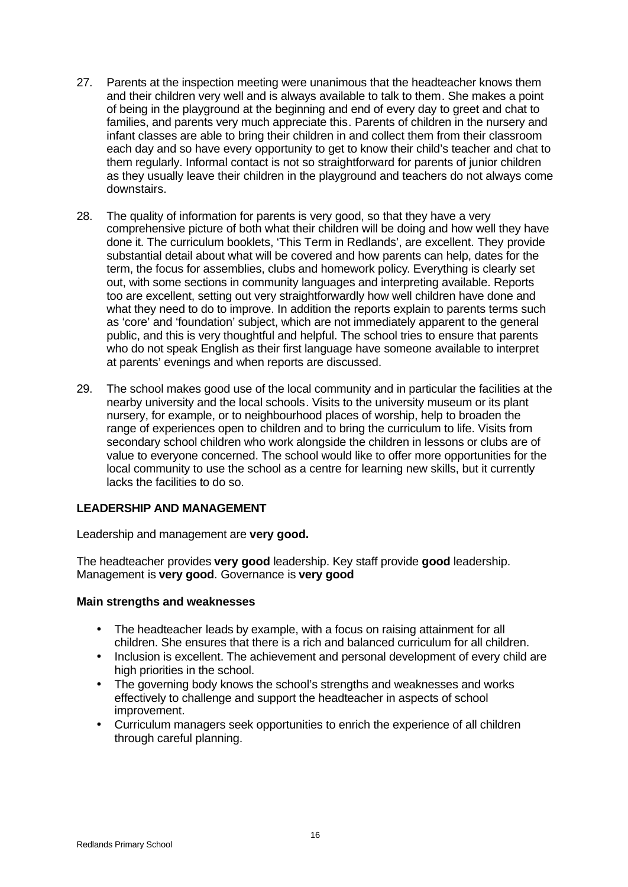- 27. Parents at the inspection meeting were unanimous that the headteacher knows them and their children very well and is always available to talk to them. She makes a point of being in the playground at the beginning and end of every day to greet and chat to families, and parents very much appreciate this. Parents of children in the nursery and infant classes are able to bring their children in and collect them from their classroom each day and so have every opportunity to get to know their child's teacher and chat to them regularly. Informal contact is not so straightforward for parents of junior children as they usually leave their children in the playground and teachers do not always come downstairs.
- 28. The quality of information for parents is very good, so that they have a very comprehensive picture of both what their children will be doing and how well they have done it. The curriculum booklets, 'This Term in Redlands', are excellent. They provide substantial detail about what will be covered and how parents can help, dates for the term, the focus for assemblies, clubs and homework policy. Everything is clearly set out, with some sections in community languages and interpreting available. Reports too are excellent, setting out very straightforwardly how well children have done and what they need to do to improve. In addition the reports explain to parents terms such as 'core' and 'foundation' subject, which are not immediately apparent to the general public, and this is very thoughtful and helpful. The school tries to ensure that parents who do not speak English as their first language have someone available to interpret at parents' evenings and when reports are discussed.
- 29. The school makes good use of the local community and in particular the facilities at the nearby university and the local schools. Visits to the university museum or its plant nursery, for example, or to neighbourhood places of worship, help to broaden the range of experiences open to children and to bring the curriculum to life. Visits from secondary school children who work alongside the children in lessons or clubs are of value to everyone concerned. The school would like to offer more opportunities for the local community to use the school as a centre for learning new skills, but it currently lacks the facilities to do so.

## **LEADERSHIP AND MANAGEMENT**

Leadership and management are **very good.**

The headteacher provides **very good** leadership. Key staff provide **good** leadership. Management is **very good**. Governance is **very good**

#### **Main strengths and weaknesses**

- The headteacher leads by example, with a focus on raising attainment for all children. She ensures that there is a rich and balanced curriculum for all children.
- Inclusion is excellent. The achievement and personal development of every child are high priorities in the school.
- The governing body knows the school's strengths and weaknesses and works effectively to challenge and support the headteacher in aspects of school improvement.
- Curriculum managers seek opportunities to enrich the experience of all children through careful planning.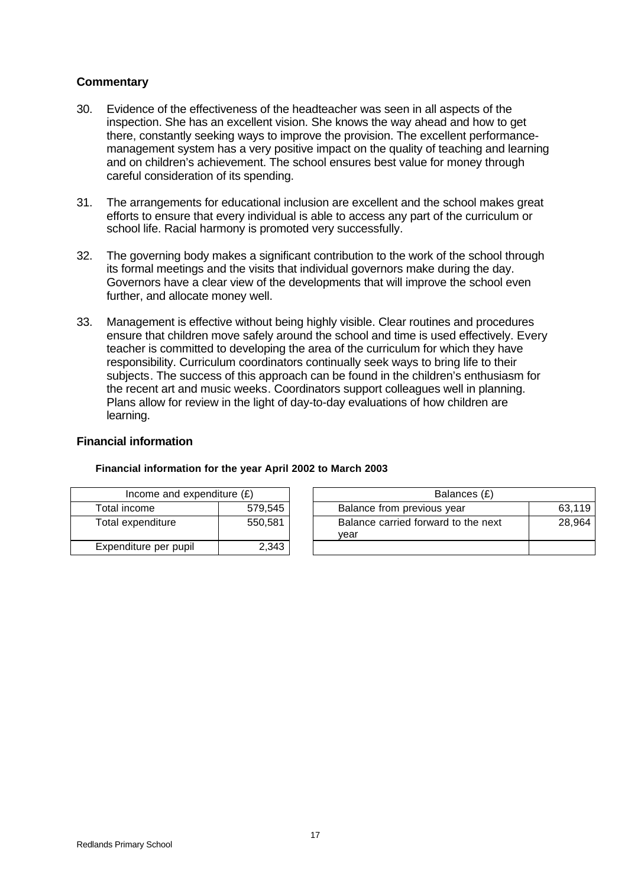# **Commentary**

- 30. Evidence of the effectiveness of the headteacher was seen in all aspects of the inspection. She has an excellent vision. She knows the way ahead and how to get there, constantly seeking ways to improve the provision. The excellent performancemanagement system has a very positive impact on the quality of teaching and learning and on children's achievement. The school ensures best value for money through careful consideration of its spending.
- 31. The arrangements for educational inclusion are excellent and the school makes great efforts to ensure that every individual is able to access any part of the curriculum or school life. Racial harmony is promoted very successfully.
- 32. The governing body makes a significant contribution to the work of the school through its formal meetings and the visits that individual governors make during the day. Governors have a clear view of the developments that will improve the school even further, and allocate money well.
- 33. Management is effective without being highly visible. Clear routines and procedures ensure that children move safely around the school and time is used effectively. Every teacher is committed to developing the area of the curriculum for which they have responsibility. Curriculum coordinators continually seek ways to bring life to their subjects. The success of this approach can be found in the children's enthusiasm for the recent art and music weeks. Coordinators support colleagues well in planning. Plans allow for review in the light of day-to-day evaluations of how children are learning.

## **Financial information**

| Income and expenditure $(E)$ |         | Balances (£)                                |
|------------------------------|---------|---------------------------------------------|
| Total income                 | 579,545 | Balance from previous year                  |
| Total expenditure            | 550,581 | Balance carried forward to the next<br>vear |
| Expenditure per pupil        | 2,343   |                                             |

## **Financial information for the year April 2002 to March 2003**

| Income and expenditure $(E)$ |         | Balances (£)                                |        |
|------------------------------|---------|---------------------------------------------|--------|
| Total income                 | 579,545 | Balance from previous year                  | 63.119 |
| Total expenditure            | 550.581 | Balance carried forward to the next<br>vear | 28.964 |
| Expenditure per pupil        | 2,343   |                                             |        |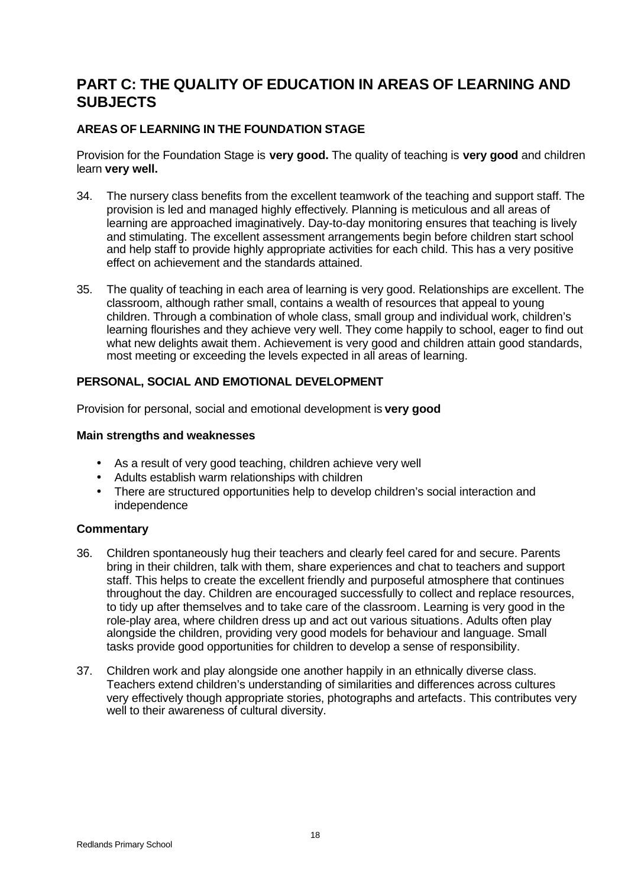# **PART C: THE QUALITY OF EDUCATION IN AREAS OF LEARNING AND SUBJECTS**

# **AREAS OF LEARNING IN THE FOUNDATION STAGE**

Provision for the Foundation Stage is **very good.** The quality of teaching is **very good** and children learn **very well.**

- 34. The nursery class benefits from the excellent teamwork of the teaching and support staff. The provision is led and managed highly effectively. Planning is meticulous and all areas of learning are approached imaginatively. Day-to-day monitoring ensures that teaching is lively and stimulating. The excellent assessment arrangements begin before children start school and help staff to provide highly appropriate activities for each child. This has a very positive effect on achievement and the standards attained.
- 35. The quality of teaching in each area of learning is very good. Relationships are excellent. The classroom, although rather small, contains a wealth of resources that appeal to young children. Through a combination of whole class, small group and individual work, children's learning flourishes and they achieve very well. They come happily to school, eager to find out what new delights await them. Achievement is very good and children attain good standards, most meeting or exceeding the levels expected in all areas of learning.

## **PERSONAL, SOCIAL AND EMOTIONAL DEVELOPMENT**

Provision for personal, social and emotional development is **very good**

#### **Main strengths and weaknesses**

- As a result of very good teaching, children achieve very well
- Adults establish warm relationships with children
- There are structured opportunities help to develop children's social interaction and independence

- 36. Children spontaneously hug their teachers and clearly feel cared for and secure. Parents bring in their children, talk with them, share experiences and chat to teachers and support staff. This helps to create the excellent friendly and purposeful atmosphere that continues throughout the day. Children are encouraged successfully to collect and replace resources, to tidy up after themselves and to take care of the classroom. Learning is very good in the role-play area, where children dress up and act out various situations. Adults often play alongside the children, providing very good models for behaviour and language. Small tasks provide good opportunities for children to develop a sense of responsibility.
- 37. Children work and play alongside one another happily in an ethnically diverse class. Teachers extend children's understanding of similarities and differences across cultures very effectively though appropriate stories, photographs and artefacts. This contributes very well to their awareness of cultural diversity.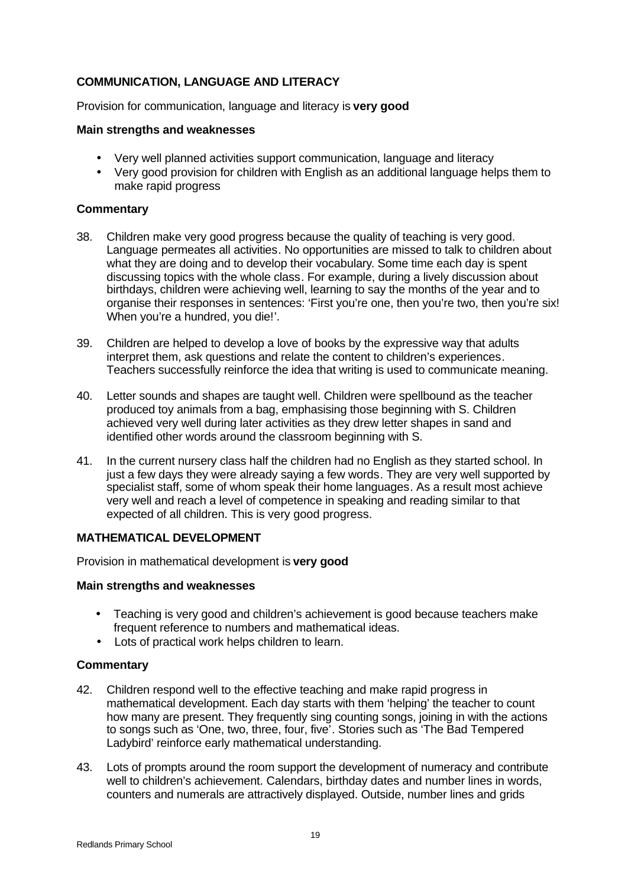# **COMMUNICATION, LANGUAGE AND LITERACY**

Provision for communication, language and literacy is **very good**

#### **Main strengths and weaknesses**

- Very well planned activities support communication, language and literacy
- Very good provision for children with English as an additional language helps them to make rapid progress

#### **Commentary**

- 38. Children make very good progress because the quality of teaching is very good. Language permeates all activities. No opportunities are missed to talk to children about what they are doing and to develop their vocabulary. Some time each day is spent discussing topics with the whole class. For example, during a lively discussion about birthdays, children were achieving well, learning to say the months of the year and to organise their responses in sentences: 'First you're one, then you're two, then you're six! When you're a hundred, you die!'.
- 39. Children are helped to develop a love of books by the expressive way that adults interpret them, ask questions and relate the content to children's experiences. Teachers successfully reinforce the idea that writing is used to communicate meaning.
- 40. Letter sounds and shapes are taught well. Children were spellbound as the teacher produced toy animals from a bag, emphasising those beginning with S. Children achieved very well during later activities as they drew letter shapes in sand and identified other words around the classroom beginning with S.
- 41. In the current nursery class half the children had no English as they started school. In just a few days they were already saying a few words. They are very well supported by specialist staff, some of whom speak their home languages. As a result most achieve very well and reach a level of competence in speaking and reading similar to that expected of all children. This is very good progress.

## **MATHEMATICAL DEVELOPMENT**

Provision in mathematical development is **very good**

#### **Main strengths and weaknesses**

- Teaching is very good and children's achievement is good because teachers make frequent reference to numbers and mathematical ideas.
- Lots of practical work helps children to learn.

- 42. Children respond well to the effective teaching and make rapid progress in mathematical development. Each day starts with them 'helping' the teacher to count how many are present. They frequently sing counting songs, joining in with the actions to songs such as 'One, two, three, four, five'. Stories such as 'The Bad Tempered Ladybird' reinforce early mathematical understanding.
- 43. Lots of prompts around the room support the development of numeracy and contribute well to children's achievement. Calendars, birthday dates and number lines in words, counters and numerals are attractively displayed. Outside, number lines and grids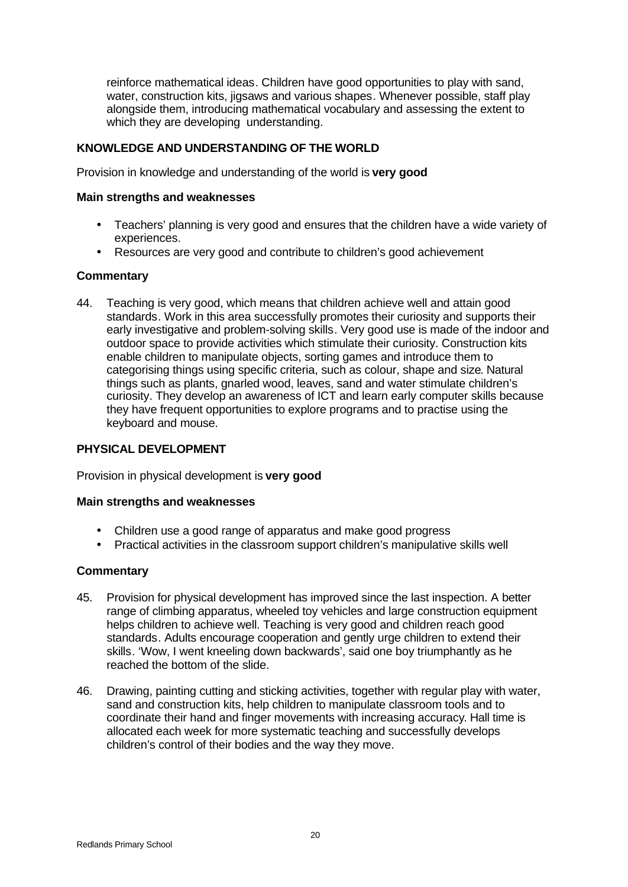reinforce mathematical ideas. Children have good opportunities to play with sand, water, construction kits, jigsaws and various shapes. Whenever possible, staff play alongside them, introducing mathematical vocabulary and assessing the extent to which they are developing understanding.

# **KNOWLEDGE AND UNDERSTANDING OF THE WORLD**

Provision in knowledge and understanding of the world is **very good**

#### **Main strengths and weaknesses**

- Teachers' planning is very good and ensures that the children have a wide variety of experiences.
- Resources are very good and contribute to children's good achievement

## **Commentary**

44. Teaching is very good, which means that children achieve well and attain good standards. Work in this area successfully promotes their curiosity and supports their early investigative and problem-solving skills. Very good use is made of the indoor and outdoor space to provide activities which stimulate their curiosity. Construction kits enable children to manipulate objects, sorting games and introduce them to categorising things using specific criteria, such as colour, shape and size. Natural things such as plants, gnarled wood, leaves, sand and water stimulate children's curiosity. They develop an awareness of ICT and learn early computer skills because they have frequent opportunities to explore programs and to practise using the keyboard and mouse.

## **PHYSICAL DEVELOPMENT**

Provision in physical development is **very good**

#### **Main strengths and weaknesses**

- Children use a good range of apparatus and make good progress
- Practical activities in the classroom support children's manipulative skills well

- 45. Provision for physical development has improved since the last inspection. A better range of climbing apparatus, wheeled toy vehicles and large construction equipment helps children to achieve well. Teaching is very good and children reach good standards. Adults encourage cooperation and gently urge children to extend their skills. 'Wow, I went kneeling down backwards', said one boy triumphantly as he reached the bottom of the slide.
- 46. Drawing, painting cutting and sticking activities, together with regular play with water, sand and construction kits, help children to manipulate classroom tools and to coordinate their hand and finger movements with increasing accuracy. Hall time is allocated each week for more systematic teaching and successfully develops children's control of their bodies and the way they move.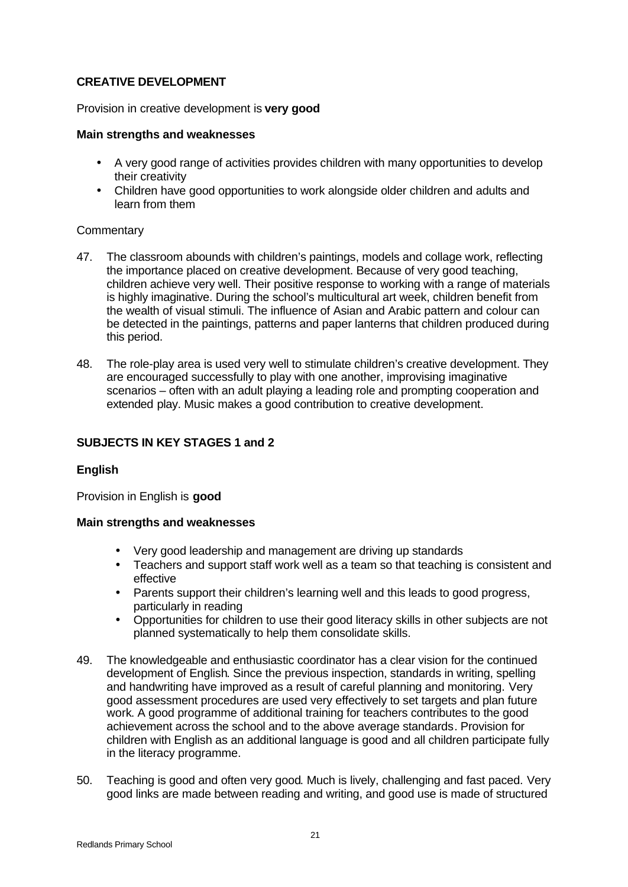# **CREATIVE DEVELOPMENT**

Provision in creative development is **very good**

## **Main strengths and weaknesses**

- A very good range of activities provides children with many opportunities to develop their creativity
- Children have good opportunities to work alongside older children and adults and learn from them

## **Commentary**

- 47. The classroom abounds with children's paintings, models and collage work, reflecting the importance placed on creative development. Because of very good teaching, children achieve very well. Their positive response to working with a range of materials is highly imaginative. During the school's multicultural art week, children benefit from the wealth of visual stimuli. The influence of Asian and Arabic pattern and colour can be detected in the paintings, patterns and paper lanterns that children produced during this period.
- 48. The role-play area is used very well to stimulate children's creative development. They are encouraged successfully to play with one another, improvising imaginative scenarios – often with an adult playing a leading role and prompting cooperation and extended play. Music makes a good contribution to creative development.

# **SUBJECTS IN KEY STAGES 1 and 2**

# **English**

Provision in English is **good**

## **Main strengths and weaknesses**

- Very good leadership and management are driving up standards
- Teachers and support staff work well as a team so that teaching is consistent and effective
- Parents support their children's learning well and this leads to good progress, particularly in reading
- Opportunities for children to use their good literacy skills in other subjects are not planned systematically to help them consolidate skills.
- 49. The knowledgeable and enthusiastic coordinator has a clear vision for the continued development of English. Since the previous inspection, standards in writing, spelling and handwriting have improved as a result of careful planning and monitoring. Very good assessment procedures are used very effectively to set targets and plan future work. A good programme of additional training for teachers contributes to the good achievement across the school and to the above average standards. Provision for children with English as an additional language is good and all children participate fully in the literacy programme.
- 50. Teaching is good and often very good. Much is lively, challenging and fast paced. Very good links are made between reading and writing, and good use is made of structured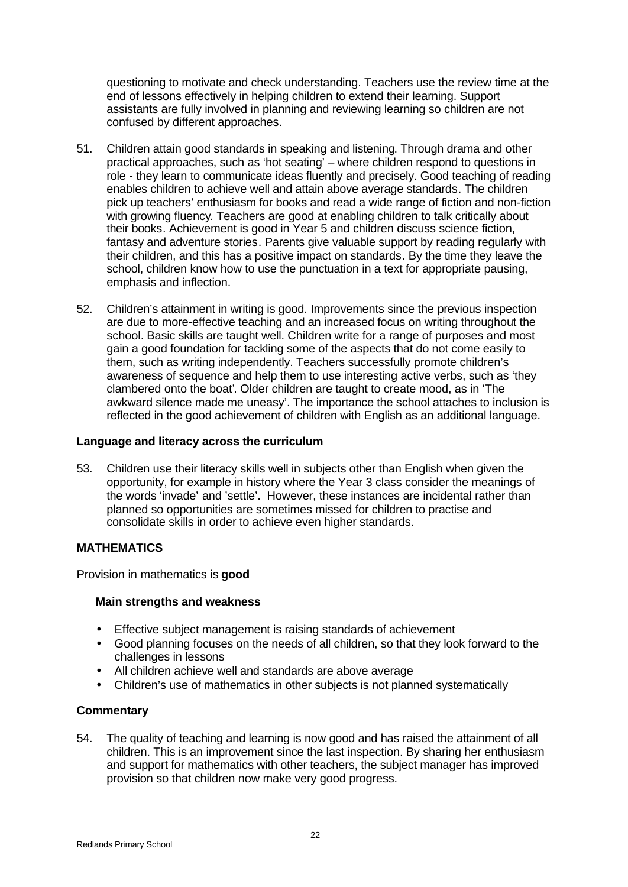questioning to motivate and check understanding. Teachers use the review time at the end of lessons effectively in helping children to extend their learning. Support assistants are fully involved in planning and reviewing learning so children are not confused by different approaches.

- 51. Children attain good standards in speaking and listening. Through drama and other practical approaches, such as 'hot seating' – where children respond to questions in role - they learn to communicate ideas fluently and precisely. Good teaching of reading enables children to achieve well and attain above average standards. The children pick up teachers' enthusiasm for books and read a wide range of fiction and non-fiction with growing fluency. Teachers are good at enabling children to talk critically about their books. Achievement is good in Year 5 and children discuss science fiction, fantasy and adventure stories. Parents give valuable support by reading regularly with their children, and this has a positive impact on standards. By the time they leave the school, children know how to use the punctuation in a text for appropriate pausing, emphasis and inflection.
- 52. Children's attainment in writing is good. Improvements since the previous inspection are due to more-effective teaching and an increased focus on writing throughout the school. Basic skills are taught well. Children write for a range of purposes and most gain a good foundation for tackling some of the aspects that do not come easily to them, such as writing independently. Teachers successfully promote children's awareness of sequence and help them to use interesting active verbs, such as 'they clambered onto the boat'. Older children are taught to create mood, as in 'The awkward silence made me uneasy'. The importance the school attaches to inclusion is reflected in the good achievement of children with English as an additional language.

## **Language and literacy across the curriculum**

53. Children use their literacy skills well in subjects other than English when given the opportunity, for example in history where the Year 3 class consider the meanings of the words 'invade' and 'settle'. However, these instances are incidental rather than planned so opportunities are sometimes missed for children to practise and consolidate skills in order to achieve even higher standards.

## **MATHEMATICS**

Provision in mathematics is **good**

#### **Main strengths and weakness**

- Effective subject management is raising standards of achievement
- Good planning focuses on the needs of all children, so that they look forward to the challenges in lessons
- All children achieve well and standards are above average
- Children's use of mathematics in other subjects is not planned systematically

## **Commentary**

54. The quality of teaching and learning is now good and has raised the attainment of all children. This is an improvement since the last inspection. By sharing her enthusiasm and support for mathematics with other teachers, the subject manager has improved provision so that children now make very good progress.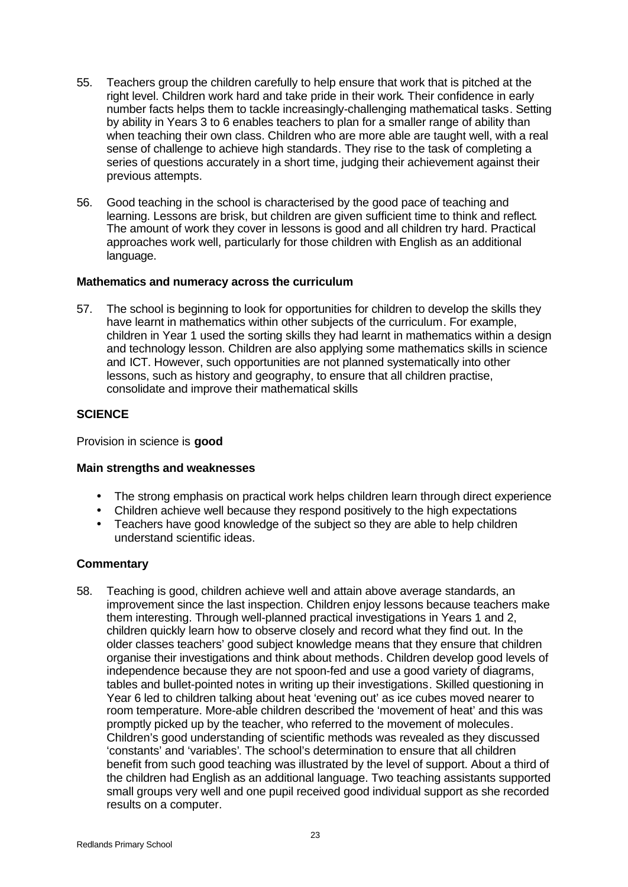- 55. Teachers group the children carefully to help ensure that work that is pitched at the right level. Children work hard and take pride in their work. Their confidence in early number facts helps them to tackle increasingly-challenging mathematical tasks. Setting by ability in Years 3 to 6 enables teachers to plan for a smaller range of ability than when teaching their own class. Children who are more able are taught well, with a real sense of challenge to achieve high standards. They rise to the task of completing a series of questions accurately in a short time, judging their achievement against their previous attempts.
- 56. Good teaching in the school is characterised by the good pace of teaching and learning. Lessons are brisk, but children are given sufficient time to think and reflect. The amount of work they cover in lessons is good and all children try hard. Practical approaches work well, particularly for those children with English as an additional language.

#### **Mathematics and numeracy across the curriculum**

57. The school is beginning to look for opportunities for children to develop the skills they have learnt in mathematics within other subjects of the curriculum. For example, children in Year 1 used the sorting skills they had learnt in mathematics within a design and technology lesson. Children are also applying some mathematics skills in science and ICT. However, such opportunities are not planned systematically into other lessons, such as history and geography, to ensure that all children practise, consolidate and improve their mathematical skills

## **SCIENCE**

Provision in science is **good**

## **Main strengths and weaknesses**

- The strong emphasis on practical work helps children learn through direct experience
- Children achieve well because they respond positively to the high expectations
- Teachers have good knowledge of the subject so they are able to help children understand scientific ideas.

## **Commentary**

58. Teaching is good, children achieve well and attain above average standards, an improvement since the last inspection. Children enjoy lessons because teachers make them interesting. Through well-planned practical investigations in Years 1 and 2, children quickly learn how to observe closely and record what they find out. In the older classes teachers' good subject knowledge means that they ensure that children organise their investigations and think about methods. Children develop good levels of independence because they are not spoon-fed and use a good variety of diagrams, tables and bullet-pointed notes in writing up their investigations. Skilled questioning in Year 6 led to children talking about heat 'evening out' as ice cubes moved nearer to room temperature. More-able children described the 'movement of heat' and this was promptly picked up by the teacher, who referred to the movement of molecules. Children's good understanding of scientific methods was revealed as they discussed 'constants' and 'variables'. The school's determination to ensure that all children benefit from such good teaching was illustrated by the level of support. About a third of the children had English as an additional language. Two teaching assistants supported small groups very well and one pupil received good individual support as she recorded results on a computer.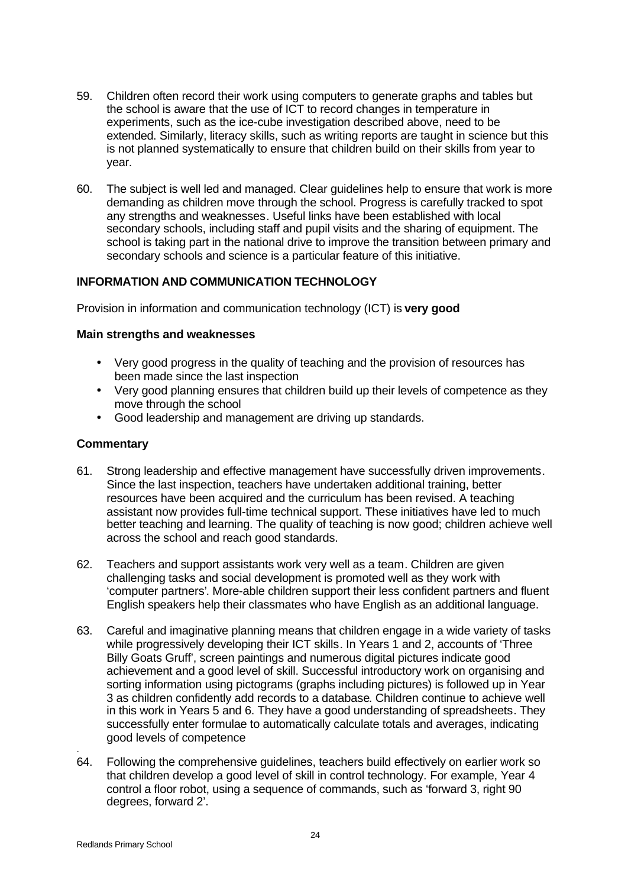- 59. Children often record their work using computers to generate graphs and tables but the school is aware that the use of ICT to record changes in temperature in experiments, such as the ice-cube investigation described above, need to be extended. Similarly, literacy skills, such as writing reports are taught in science but this is not planned systematically to ensure that children build on their skills from year to year.
- 60. The subject is well led and managed. Clear guidelines help to ensure that work is more demanding as children move through the school. Progress is carefully tracked to spot any strengths and weaknesses. Useful links have been established with local secondary schools, including staff and pupil visits and the sharing of equipment. The school is taking part in the national drive to improve the transition between primary and secondary schools and science is a particular feature of this initiative.

# **INFORMATION AND COMMUNICATION TECHNOLOGY**

Provision in information and communication technology (ICT) is **very good**

## **Main strengths and weaknesses**

- Very good progress in the quality of teaching and the provision of resources has been made since the last inspection
- Very good planning ensures that children build up their levels of competence as they move through the school
- Good leadership and management are driving up standards.

#### **Commentary**

- 61. Strong leadership and effective management have successfully driven improvements. Since the last inspection, teachers have undertaken additional training, better resources have been acquired and the curriculum has been revised. A teaching assistant now provides full-time technical support. These initiatives have led to much better teaching and learning. The quality of teaching is now good; children achieve well across the school and reach good standards.
- 62. Teachers and support assistants work very well as a team. Children are given challenging tasks and social development is promoted well as they work with 'computer partners'. More-able children support their less confident partners and fluent English speakers help their classmates who have English as an additional language.
- 63. Careful and imaginative planning means that children engage in a wide variety of tasks while progressively developing their ICT skills. In Years 1 and 2, accounts of 'Three Billy Goats Gruff', screen paintings and numerous digital pictures indicate good achievement and a good level of skill. Successful introductory work on organising and sorting information using pictograms (graphs including pictures) is followed up in Year 3 as children confidently add records to a database. Children continue to achieve well in this work in Years 5 and 6. They have a good understanding of spreadsheets. They successfully enter formulae to automatically calculate totals and averages, indicating good levels of competence
- 64. Following the comprehensive guidelines, teachers build effectively on earlier work so that children develop a good level of skill in control technology. For example, Year 4 control a floor robot, using a sequence of commands, such as 'forward 3, right 90 degrees, forward 2'.

.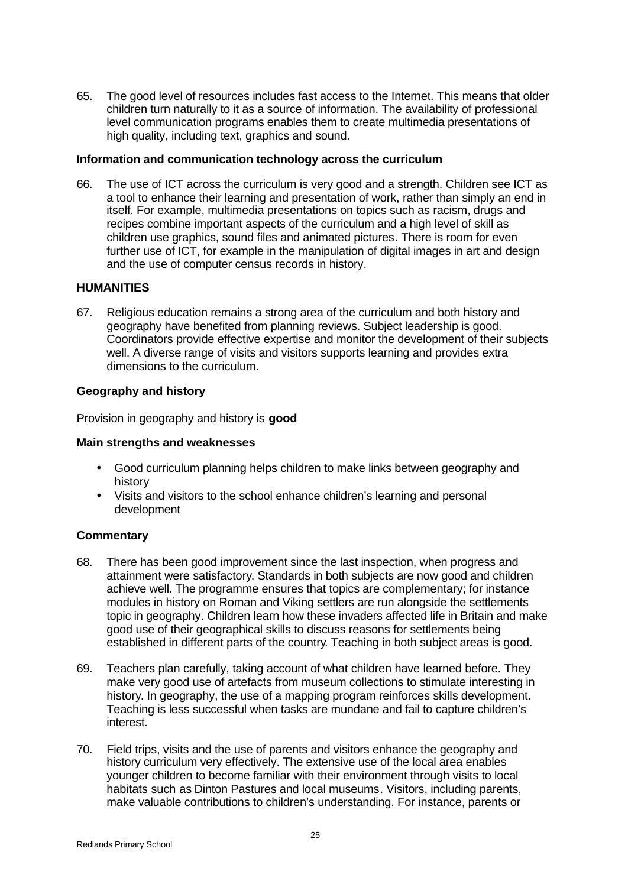65. The good level of resources includes fast access to the Internet. This means that older children turn naturally to it as a source of information. The availability of professional level communication programs enables them to create multimedia presentations of high quality, including text, graphics and sound.

#### **Information and communication technology across the curriculum**

66. The use of ICT across the curriculum is very good and a strength. Children see ICT as a tool to enhance their learning and presentation of work, rather than simply an end in itself. For example, multimedia presentations on topics such as racism, drugs and recipes combine important aspects of the curriculum and a high level of skill as children use graphics, sound files and animated pictures. There is room for even further use of ICT, for example in the manipulation of digital images in art and design and the use of computer census records in history.

#### **HUMANITIES**

67. Religious education remains a strong area of the curriculum and both history and geography have benefited from planning reviews. Subject leadership is good. Coordinators provide effective expertise and monitor the development of their subjects well. A diverse range of visits and visitors supports learning and provides extra dimensions to the curriculum.

## **Geography and history**

Provision in geography and history is **good**

#### **Main strengths and weaknesses**

- Good curriculum planning helps children to make links between geography and history
- Visits and visitors to the school enhance children's learning and personal development

- 68. There has been good improvement since the last inspection, when progress and attainment were satisfactory. Standards in both subjects are now good and children achieve well. The programme ensures that topics are complementary; for instance modules in history on Roman and Viking settlers are run alongside the settlements topic in geography. Children learn how these invaders affected life in Britain and make good use of their geographical skills to discuss reasons for settlements being established in different parts of the country. Teaching in both subject areas is good.
- 69. Teachers plan carefully, taking account of what children have learned before. They make very good use of artefacts from museum collections to stimulate interesting in history. In geography, the use of a mapping program reinforces skills development. Teaching is less successful when tasks are mundane and fail to capture children's interest.
- 70. Field trips, visits and the use of parents and visitors enhance the geography and history curriculum very effectively. The extensive use of the local area enables younger children to become familiar with their environment through visits to local habitats such as Dinton Pastures and local museums. Visitors, including parents, make valuable contributions to children's understanding. For instance, parents or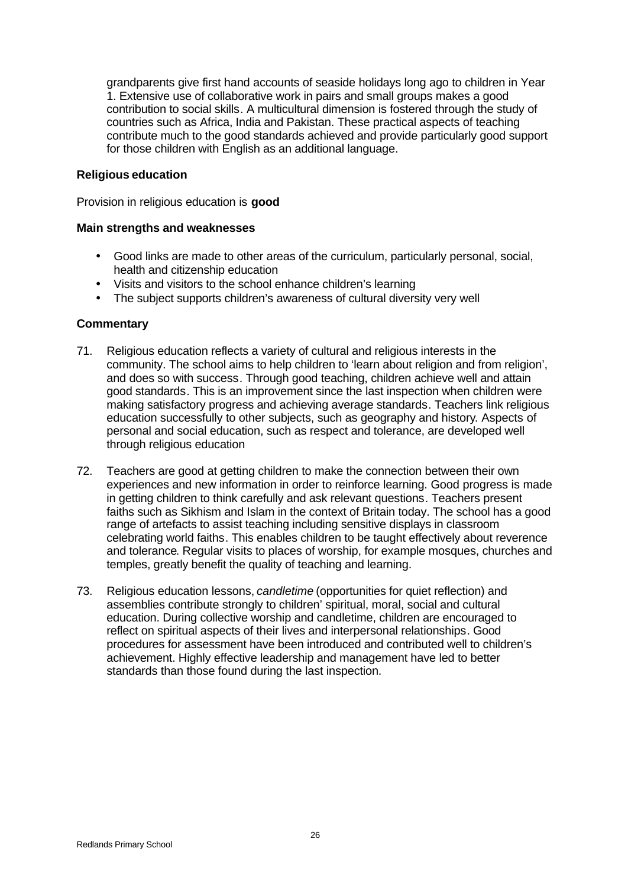grandparents give first hand accounts of seaside holidays long ago to children in Year 1. Extensive use of collaborative work in pairs and small groups makes a good contribution to social skills. A multicultural dimension is fostered through the study of countries such as Africa, India and Pakistan. These practical aspects of teaching contribute much to the good standards achieved and provide particularly good support for those children with English as an additional language.

#### **Religious education**

Provision in religious education is **good**

#### **Main strengths and weaknesses**

- Good links are made to other areas of the curriculum, particularly personal, social, health and citizenship education
- Visits and visitors to the school enhance children's learning
- The subject supports children's awareness of cultural diversity very well

- 71. Religious education reflects a variety of cultural and religious interests in the community. The school aims to help children to 'learn about religion and from religion', and does so with success. Through good teaching, children achieve well and attain good standards. This is an improvement since the last inspection when children were making satisfactory progress and achieving average standards. Teachers link religious education successfully to other subjects, such as geography and history. Aspects of personal and social education, such as respect and tolerance, are developed well through religious education
- 72. Teachers are good at getting children to make the connection between their own experiences and new information in order to reinforce learning. Good progress is made in getting children to think carefully and ask relevant questions. Teachers present faiths such as Sikhism and Islam in the context of Britain today. The school has a good range of artefacts to assist teaching including sensitive displays in classroom celebrating world faiths. This enables children to be taught effectively about reverence and tolerance. Regular visits to places of worship, for example mosques, churches and temples, greatly benefit the quality of teaching and learning.
- 73. Religious education lessons, *candletime* (opportunities for quiet reflection) and assemblies contribute strongly to children' spiritual, moral, social and cultural education. During collective worship and candletime, children are encouraged to reflect on spiritual aspects of their lives and interpersonal relationships. Good procedures for assessment have been introduced and contributed well to children's achievement. Highly effective leadership and management have led to better standards than those found during the last inspection.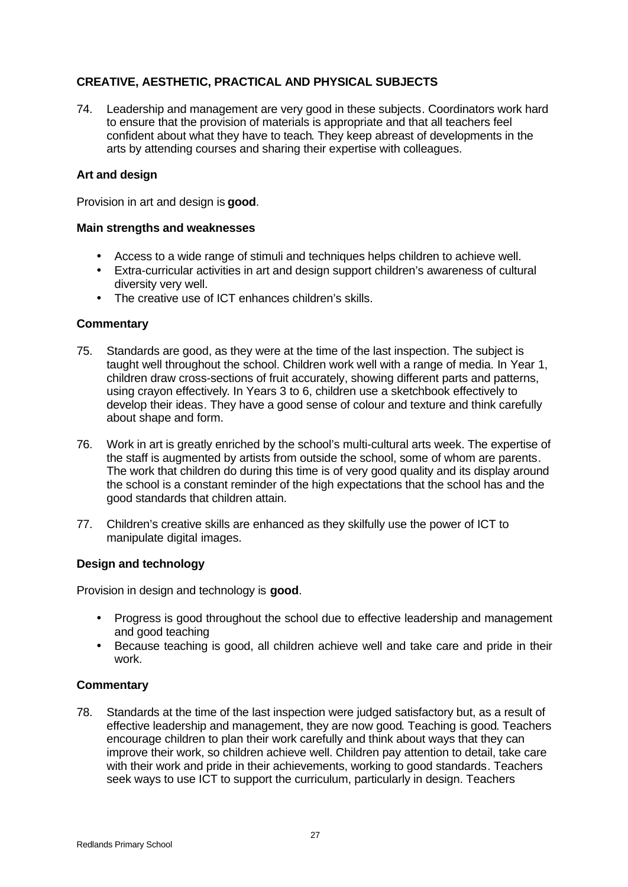# **CREATIVE, AESTHETIC, PRACTICAL AND PHYSICAL SUBJECTS**

74. Leadership and management are very good in these subjects. Coordinators work hard to ensure that the provision of materials is appropriate and that all teachers feel confident about what they have to teach. They keep abreast of developments in the arts by attending courses and sharing their expertise with colleagues.

## **Art and design**

Provision in art and design is **good**.

#### **Main strengths and weaknesses**

- Access to a wide range of stimuli and techniques helps children to achieve well.
- Extra-curricular activities in art and design support children's awareness of cultural diversity very well.
- The creative use of ICT enhances children's skills.

# **Commentary**

- 75. Standards are good, as they were at the time of the last inspection. The subject is taught well throughout the school. Children work well with a range of media. In Year 1, children draw cross-sections of fruit accurately, showing different parts and patterns, using crayon effectively. In Years 3 to 6, children use a sketchbook effectively to develop their ideas. They have a good sense of colour and texture and think carefully about shape and form.
- 76. Work in art is greatly enriched by the school's multi-cultural arts week. The expertise of the staff is augmented by artists from outside the school, some of whom are parents. The work that children do during this time is of very good quality and its display around the school is a constant reminder of the high expectations that the school has and the good standards that children attain.
- 77. Children's creative skills are enhanced as they skilfully use the power of ICT to manipulate digital images.

## **Design and technology**

Provision in design and technology is **good**.

- Progress is good throughout the school due to effective leadership and management and good teaching
- Because teaching is good, all children achieve well and take care and pride in their work.

## **Commentary**

78. Standards at the time of the last inspection were judged satisfactory but, as a result of effective leadership and management, they are now good. Teaching is good. Teachers encourage children to plan their work carefully and think about ways that they can improve their work, so children achieve well. Children pay attention to detail, take care with their work and pride in their achievements, working to good standards. Teachers seek ways to use ICT to support the curriculum, particularly in design. Teachers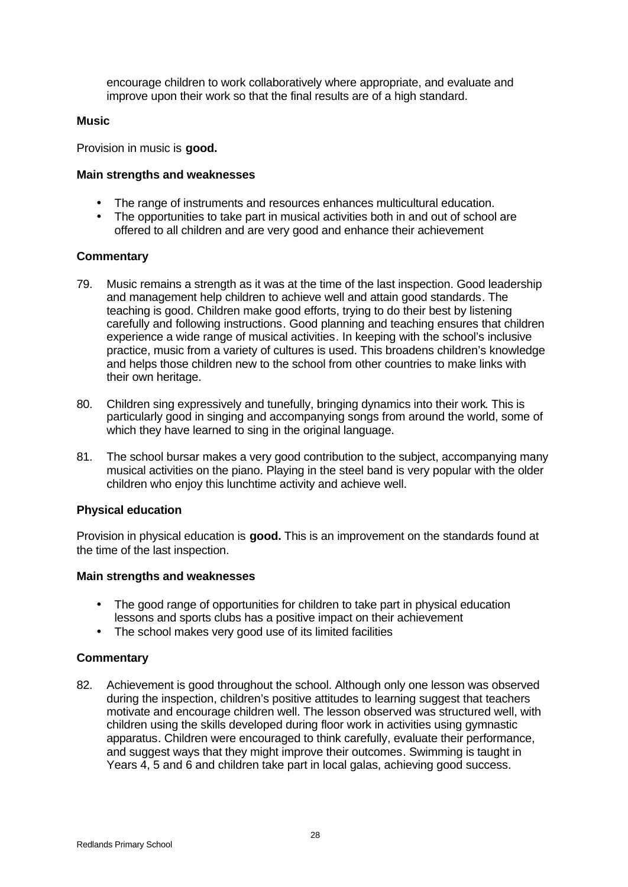encourage children to work collaboratively where appropriate, and evaluate and improve upon their work so that the final results are of a high standard.

#### **Music**

Provision in music is **good.**

#### **Main strengths and weaknesses**

- The range of instruments and resources enhances multicultural education.
- The opportunities to take part in musical activities both in and out of school are offered to all children and are very good and enhance their achievement

## **Commentary**

- 79. Music remains a strength as it was at the time of the last inspection. Good leadership and management help children to achieve well and attain good standards. The teaching is good. Children make good efforts, trying to do their best by listening carefully and following instructions. Good planning and teaching ensures that children experience a wide range of musical activities. In keeping with the school's inclusive practice, music from a variety of cultures is used. This broadens children's knowledge and helps those children new to the school from other countries to make links with their own heritage.
- 80. Children sing expressively and tunefully, bringing dynamics into their work. This is particularly good in singing and accompanying songs from around the world, some of which they have learned to sing in the original language.
- 81. The school bursar makes a very good contribution to the subject, accompanying many musical activities on the piano. Playing in the steel band is very popular with the older children who enjoy this lunchtime activity and achieve well.

#### **Physical education**

Provision in physical education is **good.** This is an improvement on the standards found at the time of the last inspection.

## **Main strengths and weaknesses**

- The good range of opportunities for children to take part in physical education lessons and sports clubs has a positive impact on their achievement
- The school makes very good use of its limited facilities

## **Commentary**

82. Achievement is good throughout the school. Although only one lesson was observed during the inspection, children's positive attitudes to learning suggest that teachers motivate and encourage children well. The lesson observed was structured well, with children using the skills developed during floor work in activities using gymnastic apparatus. Children were encouraged to think carefully, evaluate their performance, and suggest ways that they might improve their outcomes. Swimming is taught in Years 4, 5 and 6 and children take part in local galas, achieving good success.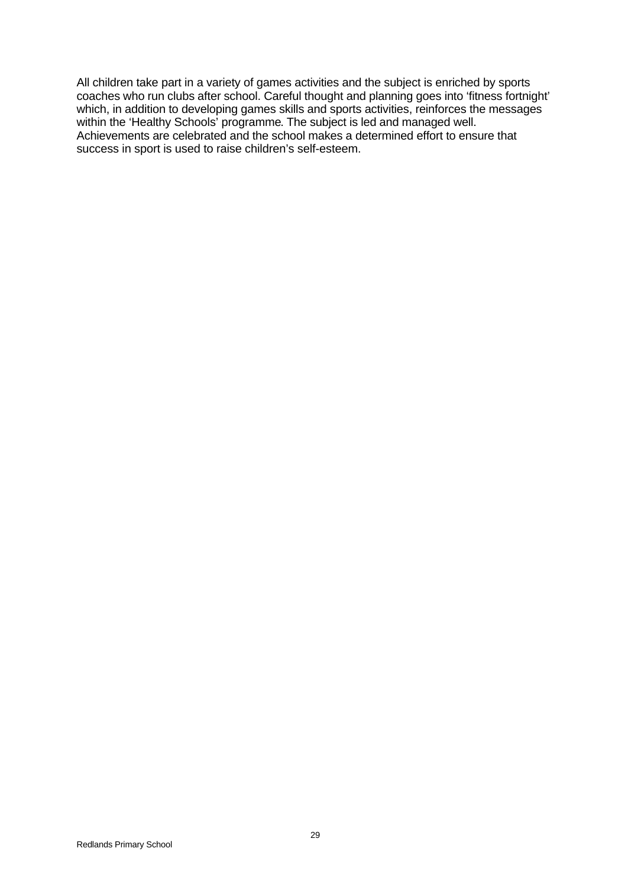All children take part in a variety of games activities and the subject is enriched by sports coaches who run clubs after school. Careful thought and planning goes into 'fitness fortnight' which, in addition to developing games skills and sports activities, reinforces the messages within the 'Healthy Schools' programme. The subject is led and managed well. Achievements are celebrated and the school makes a determined effort to ensure that success in sport is used to raise children's self-esteem.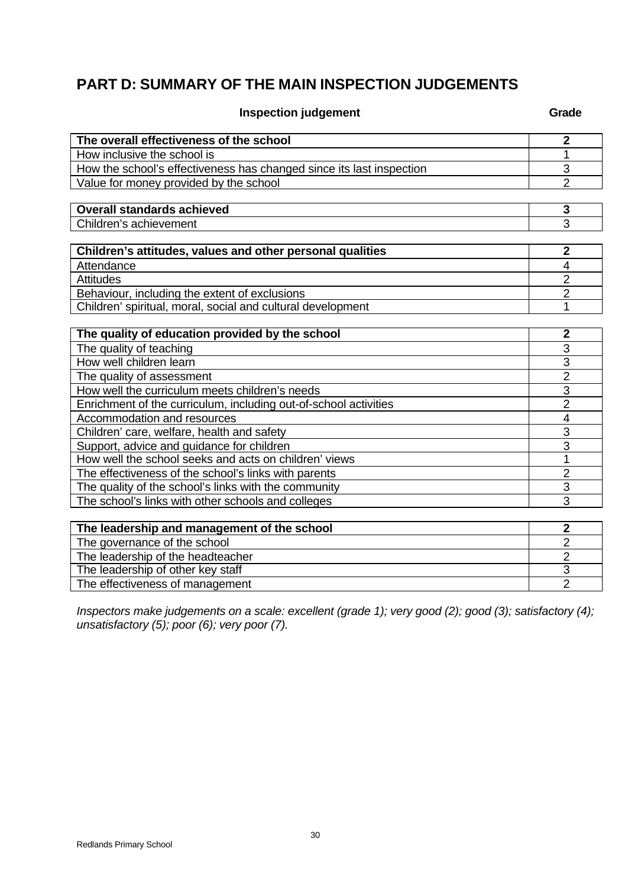# **PART D: SUMMARY OF THE MAIN INSPECTION JUDGEMENTS**

**Inspection judgement Grade** 

| The overall effectiveness of the school                              | $\overline{2}$          |
|----------------------------------------------------------------------|-------------------------|
| How inclusive the school is                                          | 1                       |
| How the school's effectiveness has changed since its last inspection | $\overline{3}$          |
| Value for money provided by the school                               | $\overline{2}$          |
|                                                                      |                         |
| <b>Overall standards achieved</b>                                    | 3                       |
| Children's achievement                                               | 3                       |
|                                                                      |                         |
| Children's attitudes, values and other personal qualities            | $\overline{2}$          |
| Attendance                                                           | $\overline{4}$          |
| <b>Attitudes</b>                                                     | $\overline{2}$          |
| Behaviour, including the extent of exclusions                        | $\overline{2}$          |
| Children' spiritual, moral, social and cultural development          | 1                       |
|                                                                      |                         |
| The quality of education provided by the school                      | $\overline{\mathbf{2}}$ |
| The quality of teaching                                              | 3                       |
| How well children learn                                              | $\overline{3}$          |
| The quality of assessment                                            | $\overline{2}$          |
| How well the curriculum meets children's needs                       | 3                       |
| Enrichment of the curriculum, including out-of-school activities     | $\overline{2}$          |
| Accommodation and resources                                          | $\overline{4}$          |
| Children' care, welfare, health and safety                           | 3                       |
| Support, advice and guidance for children                            | 3                       |
| How well the school seeks and acts on children' views                | 1                       |
| The effectiveness of the school's links with parents                 | $\overline{2}$          |
| The quality of the school's links with the community                 | 3                       |
| The school's links with other schools and colleges                   | 3                       |
|                                                                      |                         |
| The leadership and management of the school                          | $\overline{2}$          |
| The governance of the school                                         | $\overline{2}$          |
| The leadership of the headteacher                                    | $\overline{2}$          |
| The leadership of other key staff                                    | 3                       |
| The effectiveness of management                                      | $\overline{2}$          |

*Inspectors make judgements on a scale: excellent (grade 1); very good (2); good (3); satisfactory (4); unsatisfactory (5); poor (6); very poor (7).*